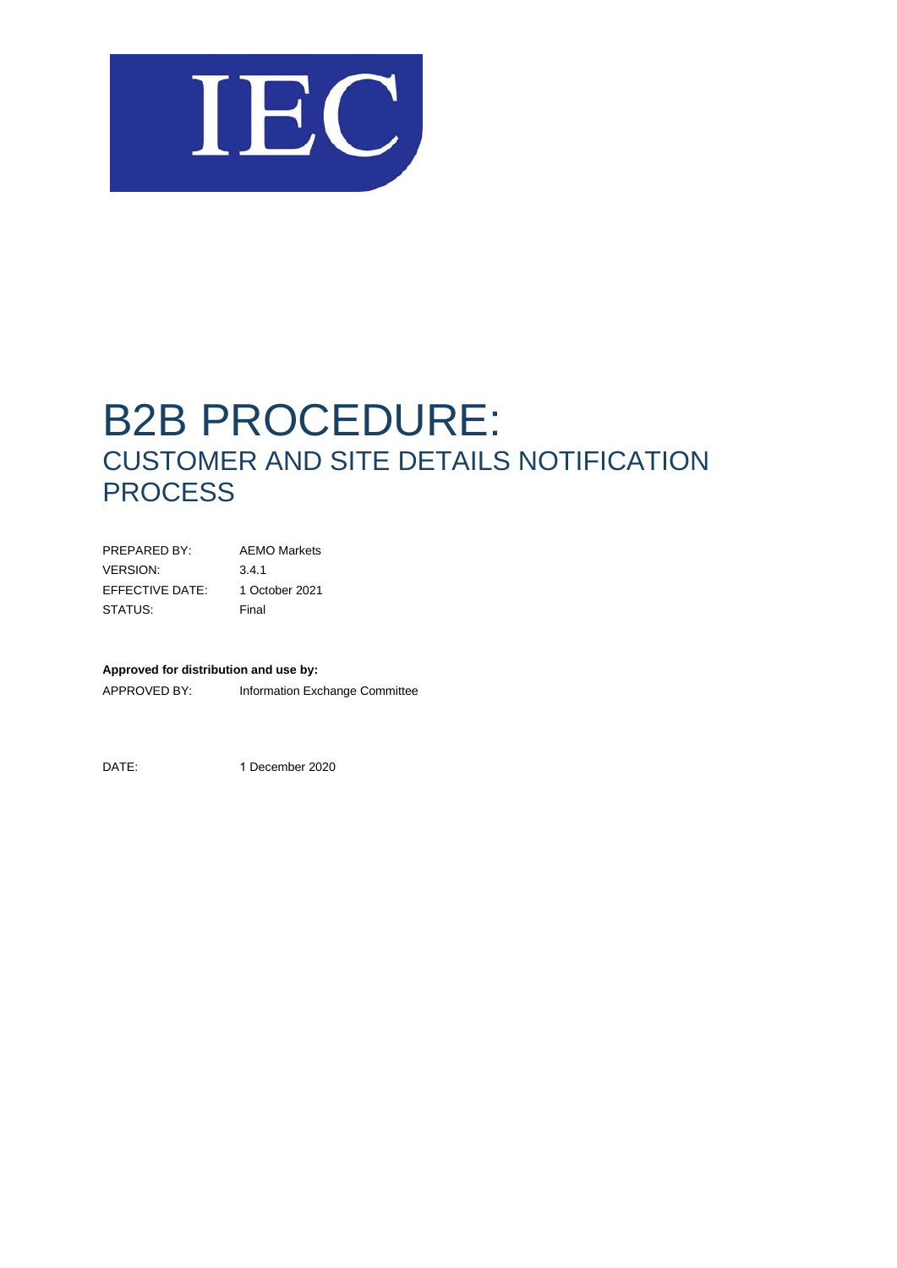

# B2B PROCEDURE: CUSTOMER AND SITE DETAILS NOTIFICATION **PROCESS**

| PRFPARFD BY:    | <b>AEMO Markets</b> |
|-----------------|---------------------|
| <b>VERSION:</b> | 3.4.1               |
| EFFECTIVE DATE: | 1 October 2021      |
| STATUS:         | Final               |

#### **Approved for distribution and use by:**

APPROVED BY: Information Exchange Committee

DATE: 1 December 2020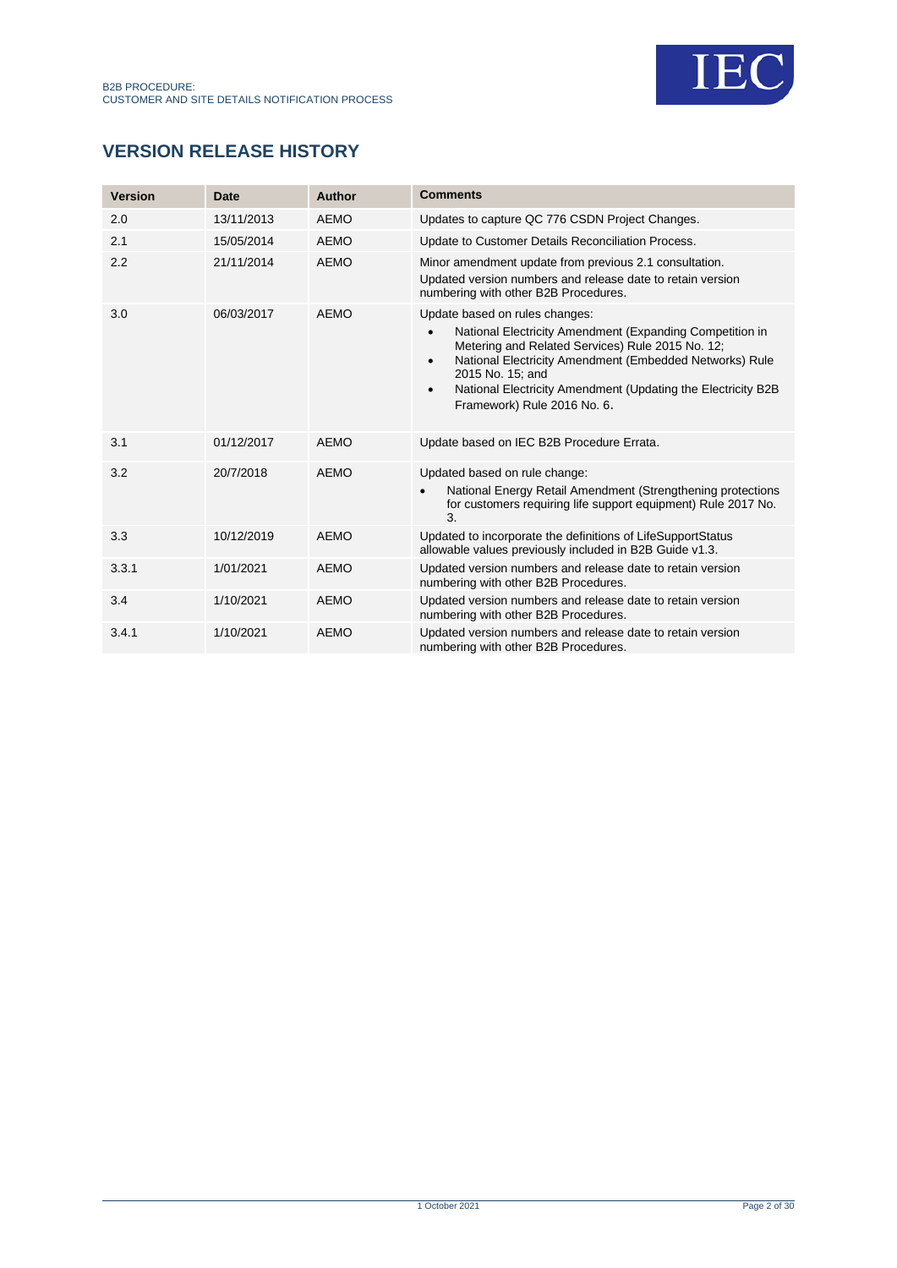

# **VERSION RELEASE HISTORY**

| <b>Version</b> | Date       | Author      | <b>Comments</b>                                                                                                                                                                                                                                                                                                                                        |
|----------------|------------|-------------|--------------------------------------------------------------------------------------------------------------------------------------------------------------------------------------------------------------------------------------------------------------------------------------------------------------------------------------------------------|
| 2.0            | 13/11/2013 | <b>AEMO</b> | Updates to capture QC 776 CSDN Project Changes.                                                                                                                                                                                                                                                                                                        |
| 2.1            | 15/05/2014 | <b>AEMO</b> | Update to Customer Details Reconciliation Process.                                                                                                                                                                                                                                                                                                     |
| 2.2            | 21/11/2014 | <b>AEMO</b> | Minor amendment update from previous 2.1 consultation.<br>Updated version numbers and release date to retain version<br>numbering with other B2B Procedures.                                                                                                                                                                                           |
| 3.0            | 06/03/2017 | AEMO        | Update based on rules changes:<br>National Electricity Amendment (Expanding Competition in<br>Metering and Related Services) Rule 2015 No. 12;<br>National Electricity Amendment (Embedded Networks) Rule<br>$\bullet$<br>2015 No. 15; and<br>National Electricity Amendment (Updating the Electricity B2B<br>$\bullet$<br>Framework) Rule 2016 No. 6. |
| 3.1            | 01/12/2017 | <b>AEMO</b> | Update based on IEC B2B Procedure Errata.                                                                                                                                                                                                                                                                                                              |
| 3.2            | 20/7/2018  | <b>AEMO</b> | Updated based on rule change:<br>National Energy Retail Amendment (Strengthening protections<br>$\bullet$<br>for customers requiring life support equipment) Rule 2017 No.<br>3.                                                                                                                                                                       |
| 3.3            | 10/12/2019 | <b>AEMO</b> | Updated to incorporate the definitions of LifeSupportStatus<br>allowable values previously included in B2B Guide v1.3.                                                                                                                                                                                                                                 |
| 3.3.1          | 1/01/2021  | <b>AEMO</b> | Updated version numbers and release date to retain version<br>numbering with other B2B Procedures.                                                                                                                                                                                                                                                     |
| 3.4            | 1/10/2021  | <b>AEMO</b> | Updated version numbers and release date to retain version<br>numbering with other B2B Procedures.                                                                                                                                                                                                                                                     |
| 3.4.1          | 1/10/2021  | <b>AEMO</b> | Updated version numbers and release date to retain version<br>numbering with other B2B Procedures.                                                                                                                                                                                                                                                     |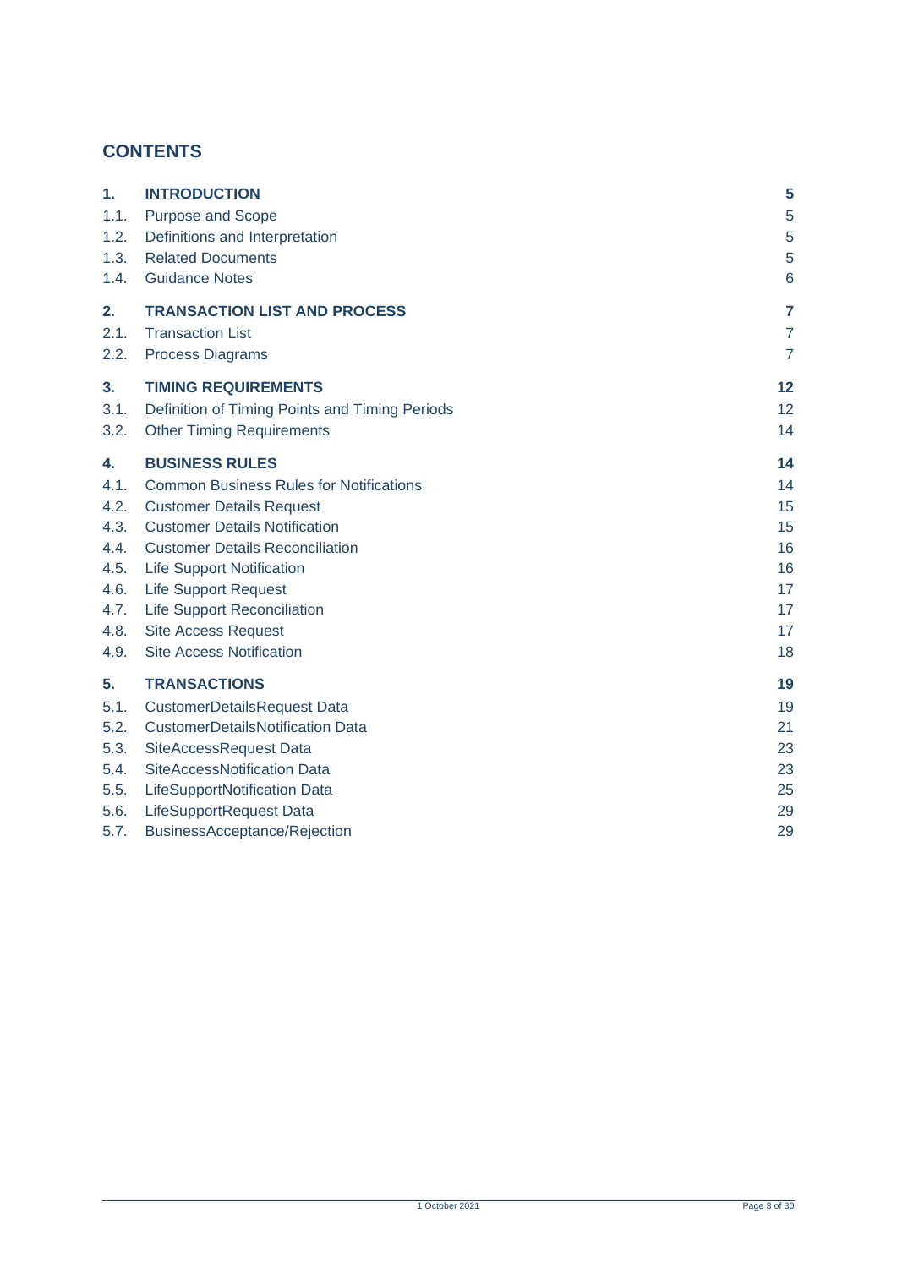# **CONTENTS**

| 1.   | <b>INTRODUCTION</b>                            | 5              |
|------|------------------------------------------------|----------------|
| 1.1. | Purpose and Scope                              | 5              |
| 1.2. | Definitions and Interpretation                 | 5              |
| 1.3. | <b>Related Documents</b>                       | 5              |
| 1.4. | <b>Guidance Notes</b>                          | 6              |
| 2.   | <b>TRANSACTION LIST AND PROCESS</b>            | $\overline{7}$ |
| 2.1. | <b>Transaction List</b>                        | $\overline{7}$ |
| 2.2. | <b>Process Diagrams</b>                        | $\overline{7}$ |
| 3.   | <b>TIMING REQUIREMENTS</b>                     | 12             |
| 3.1. | Definition of Timing Points and Timing Periods | 12             |
| 3.2. | <b>Other Timing Requirements</b>               | 14             |
| 4.   | <b>BUSINESS RULES</b>                          | 14             |
| 4.1. | <b>Common Business Rules for Notifications</b> | 14             |
| 4.2. | <b>Customer Details Request</b>                | 15             |
| 4.3. | <b>Customer Details Notification</b>           | 15             |
| 4.4. | <b>Customer Details Reconciliation</b>         | 16             |
| 4.5. | <b>Life Support Notification</b>               | 16             |
| 4.6. | <b>Life Support Request</b>                    | 17             |
| 4.7. | <b>Life Support Reconciliation</b>             | 17             |
| 4.8. | <b>Site Access Request</b>                     | 17             |
| 4.9. | <b>Site Access Notification</b>                | 18             |
| 5.   | <b>TRANSACTIONS</b>                            | 19             |
| 5.1. | <b>CustomerDetailsRequest Data</b>             | 19             |
| 5.2. | <b>CustomerDetailsNotification Data</b>        | 21             |
| 5.3. | SiteAccessRequest Data                         | 23             |
| 5.4. | SiteAccessNotification Data                    | 23             |
| 5.5. | LifeSupportNotification Data                   | 25             |
| 5.6. | LifeSupportRequest Data                        | 29             |
| 5.7. | BusinessAcceptance/Rejection                   | 29             |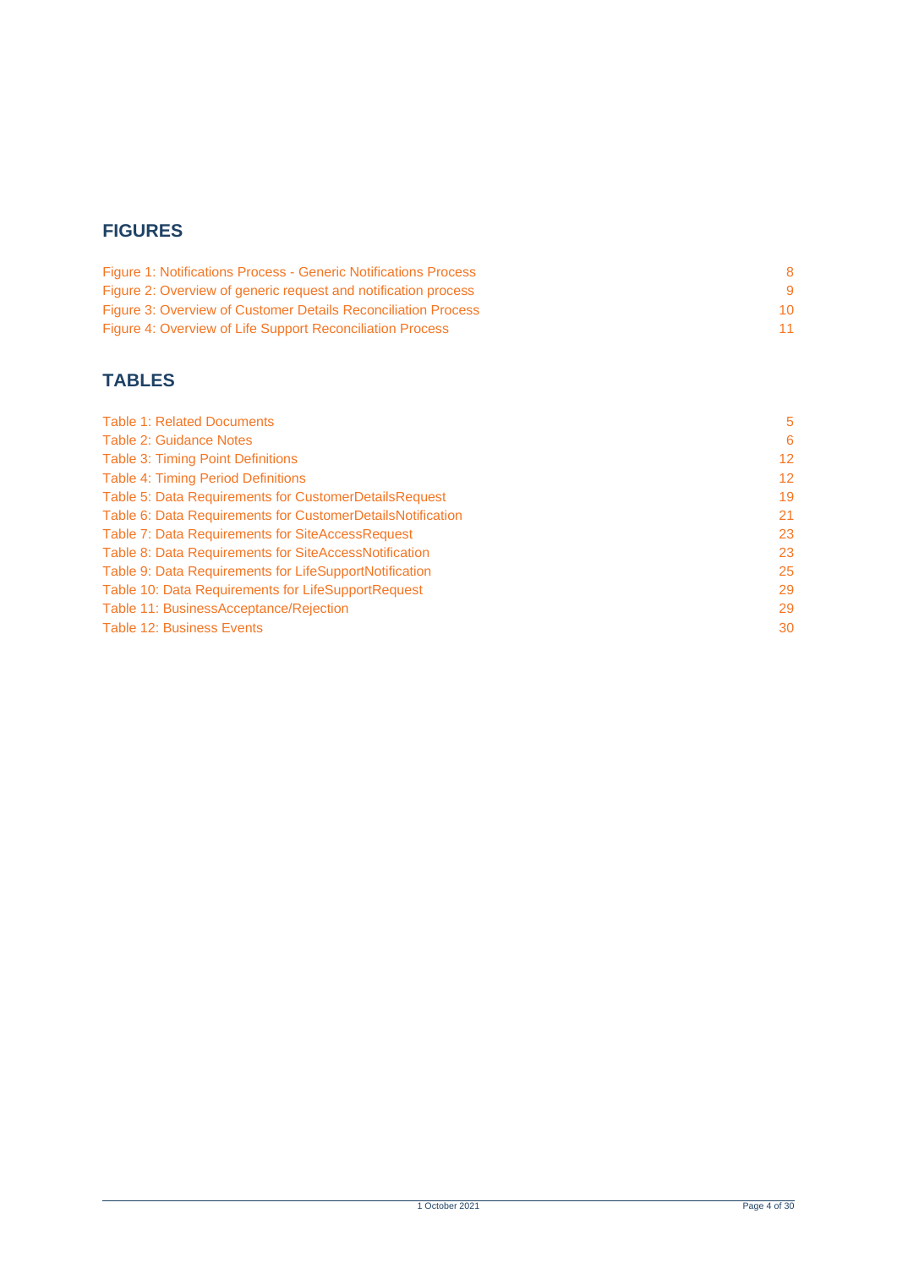# **FIGURES**

| Figure 1: Notifications Process - Generic Notifications Process |    |
|-----------------------------------------------------------------|----|
| Figure 2: Overview of generic request and notification process  |    |
| Figure 3: Overview of Customer Details Reconciliation Process   | 10 |
| Figure 4: Overview of Life Support Reconciliation Process       |    |

# **TABLES**

| <b>Table 1: Related Documents</b>                          | 5               |
|------------------------------------------------------------|-----------------|
| <b>Table 2: Guidance Notes</b>                             | 6               |
| Table 3: Timing Point Definitions                          | 12 <sup>°</sup> |
| <b>Table 4: Timing Period Definitions</b>                  | 12 <sup>2</sup> |
| Table 5: Data Requirements for CustomerDetailsRequest      | 19              |
| Table 6: Data Requirements for CustomerDetailsNotification | 21              |
| Table 7: Data Requirements for SiteAccessRequest           | 23              |
| Table 8: Data Requirements for SiteAccessNotification      | 23              |
| Table 9: Data Requirements for LifeSupportNotification     | 25              |
| Table 10: Data Requirements for LifeSupportRequest         | 29              |
| Table 11: BusinessAcceptance/Rejection                     | 29              |
| <b>Table 12: Business Events</b>                           | 30              |
|                                                            |                 |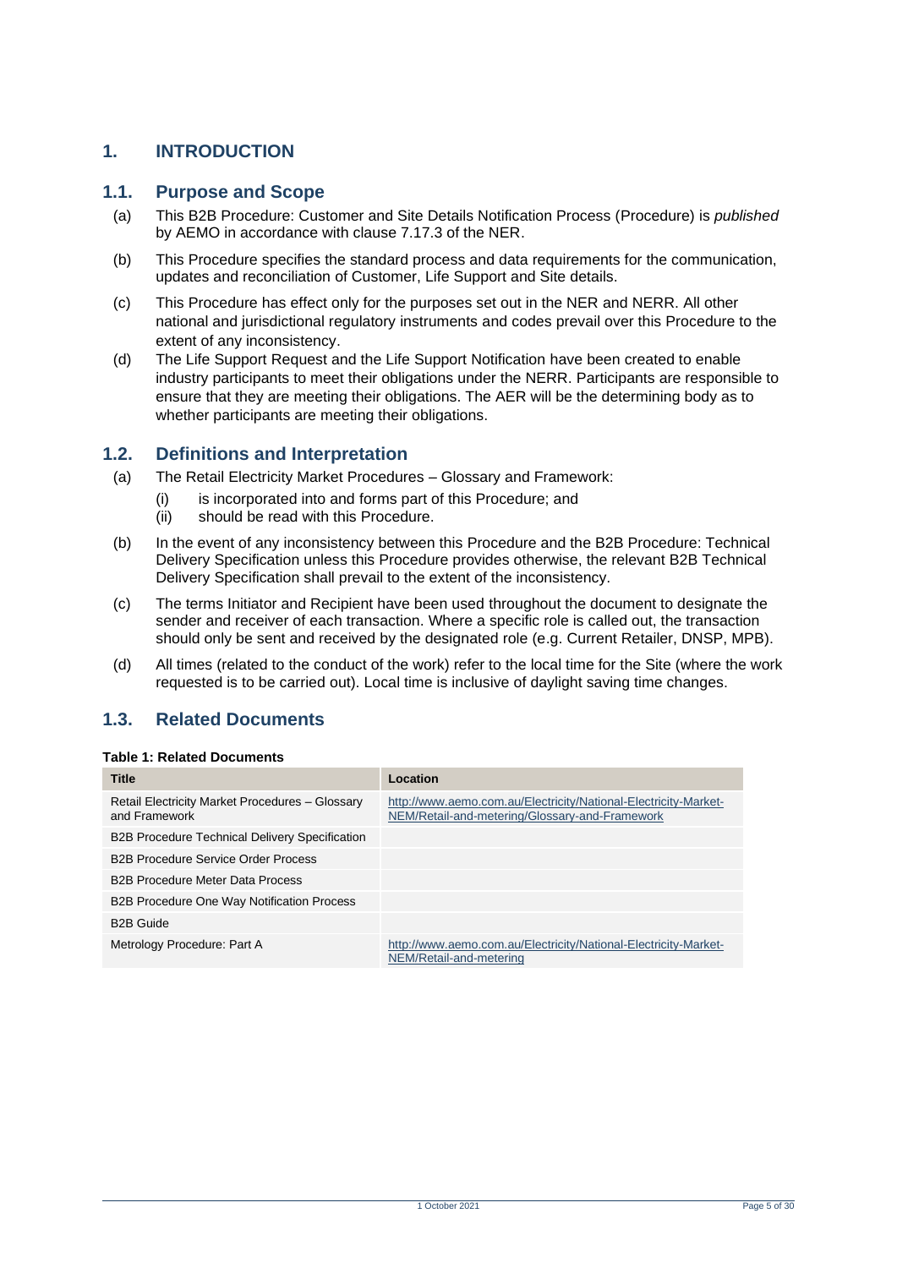# <span id="page-4-0"></span>**1. INTRODUCTION**

### <span id="page-4-1"></span>**1.1. Purpose and Scope**

- (a) This B2B Procedure: Customer and Site Details Notification Process (Procedure) is *published* by AEMO in accordance with clause 7.17.3 of the NER.
- (b) This Procedure specifies the standard process and data requirements for the communication, updates and reconciliation of Customer, Life Support and Site details.
- (c) This Procedure has effect only for the purposes set out in the NER and NERR. All other national and jurisdictional regulatory instruments and codes prevail over this Procedure to the extent of any inconsistency.
- (d) The Life Support Request and the Life Support Notification have been created to enable industry participants to meet their obligations under the NERR. Participants are responsible to ensure that they are meeting their obligations. The AER will be the determining body as to whether participants are meeting their obligations.

### <span id="page-4-2"></span>**1.2. Definitions and Interpretation**

- (a) The Retail Electricity Market Procedures Glossary and Framework:
	- (i) is incorporated into and forms part of this Procedure; and
	- (ii) should be read with this Procedure.
- (b) In the event of any inconsistency between this Procedure and the B2B Procedure: Technical Delivery Specification unless this Procedure provides otherwise, the relevant B2B Technical Delivery Specification shall prevail to the extent of the inconsistency.
- (c) The terms Initiator and Recipient have been used throughout the document to designate the sender and receiver of each transaction. Where a specific role is called out, the transaction should only be sent and received by the designated role (e.g. Current Retailer, DNSP, MPB).
- (d) All times (related to the conduct of the work) refer to the local time for the Site (where the work requested is to be carried out). Local time is inclusive of daylight saving time changes.

# <span id="page-4-3"></span>**1.3. Related Documents**

#### <span id="page-4-4"></span>**Table 1: Related Documents**

| <b>Title</b>                                                     | Location                                                                                                          |
|------------------------------------------------------------------|-------------------------------------------------------------------------------------------------------------------|
| Retail Electricity Market Procedures - Glossary<br>and Framework | http://www.aemo.com.au/Electricity/National-Electricity-Market-<br>NEM/Retail-and-metering/Glossary-and-Framework |
| <b>B2B Procedure Technical Delivery Specification</b>            |                                                                                                                   |
| <b>B2B Procedure Service Order Process</b>                       |                                                                                                                   |
| <b>B2B Procedure Meter Data Process</b>                          |                                                                                                                   |
| <b>B2B Procedure One Way Notification Process</b>                |                                                                                                                   |
| <b>B2B Guide</b>                                                 |                                                                                                                   |
| Metrology Procedure: Part A                                      | http://www.aemo.com.au/Electricity/National-Electricity-Market-<br>NEM/Retail-and-metering                        |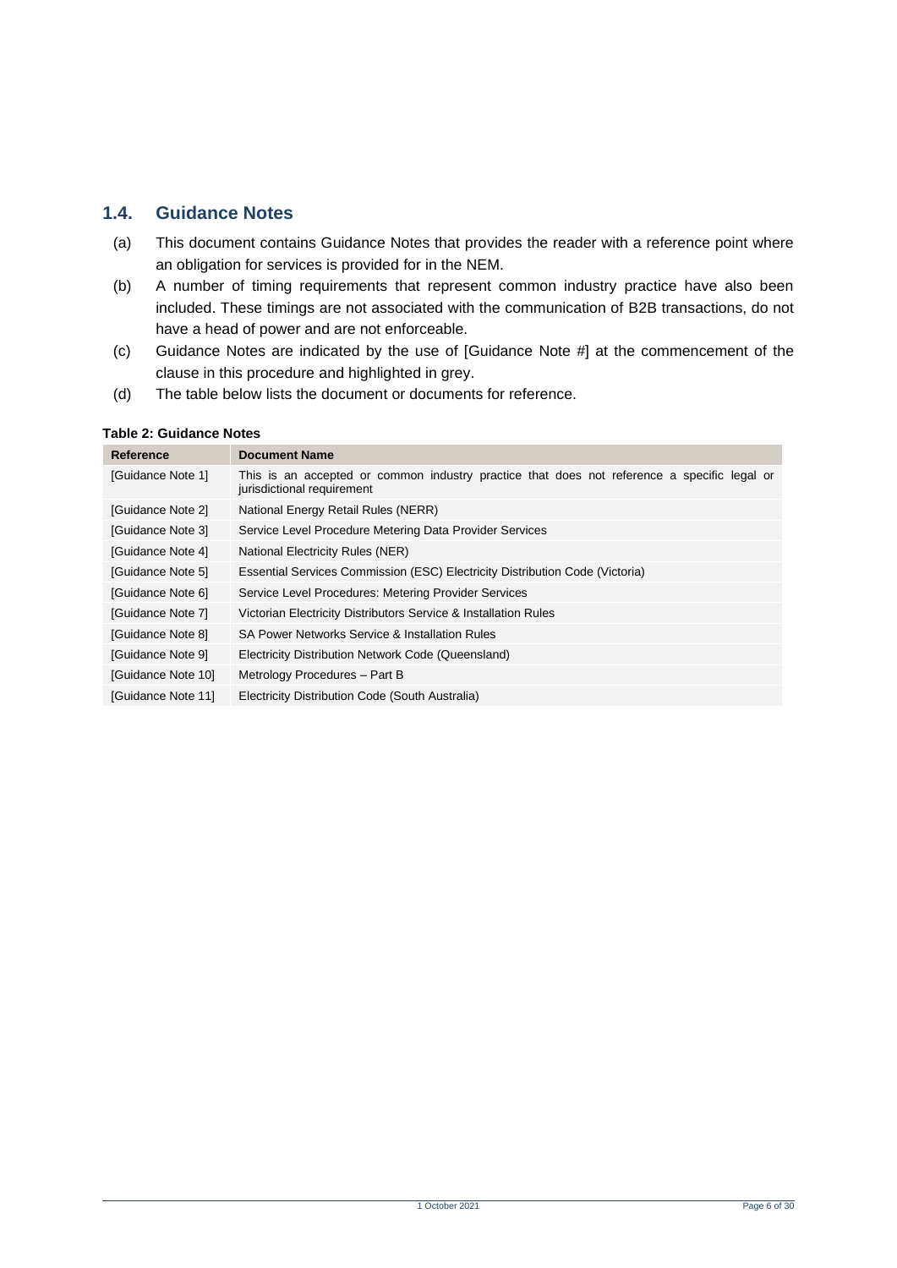# <span id="page-5-0"></span>**1.4. Guidance Notes**

- (a) This document contains Guidance Notes that provides the reader with a reference point where an obligation for services is provided for in the NEM.
- (b) A number of timing requirements that represent common industry practice have also been included. These timings are not associated with the communication of B2B transactions, do not have a head of power and are not enforceable.
- (c) Guidance Notes are indicated by the use of [Guidance Note #] at the commencement of the clause in this procedure and highlighted in grey.
- (d) The table below lists the document or documents for reference.

#### <span id="page-5-1"></span>**Table 2: Guidance Notes**

| Reference          | <b>Document Name</b>                                                                                                      |
|--------------------|---------------------------------------------------------------------------------------------------------------------------|
| [Guidance Note 1]  | This is an accepted or common industry practice that does not reference a specific legal or<br>jurisdictional requirement |
| [Guidance Note 2]  | National Energy Retail Rules (NERR)                                                                                       |
| [Guidance Note 3]  | Service Level Procedure Metering Data Provider Services                                                                   |
| [Guidance Note 4]  | National Electricity Rules (NER)                                                                                          |
| [Guidance Note 5]  | Essential Services Commission (ESC) Electricity Distribution Code (Victoria)                                              |
| [Guidance Note 6]  | Service Level Procedures: Metering Provider Services                                                                      |
| [Guidance Note 7]  | Victorian Electricity Distributors Service & Installation Rules                                                           |
| [Guidance Note 8]  | SA Power Networks Service & Installation Rules                                                                            |
| [Guidance Note 9]  | Electricity Distribution Network Code (Queensland)                                                                        |
| [Guidance Note 10] | Metrology Procedures - Part B                                                                                             |
| [Guidance Note 11] | Electricity Distribution Code (South Australia)                                                                           |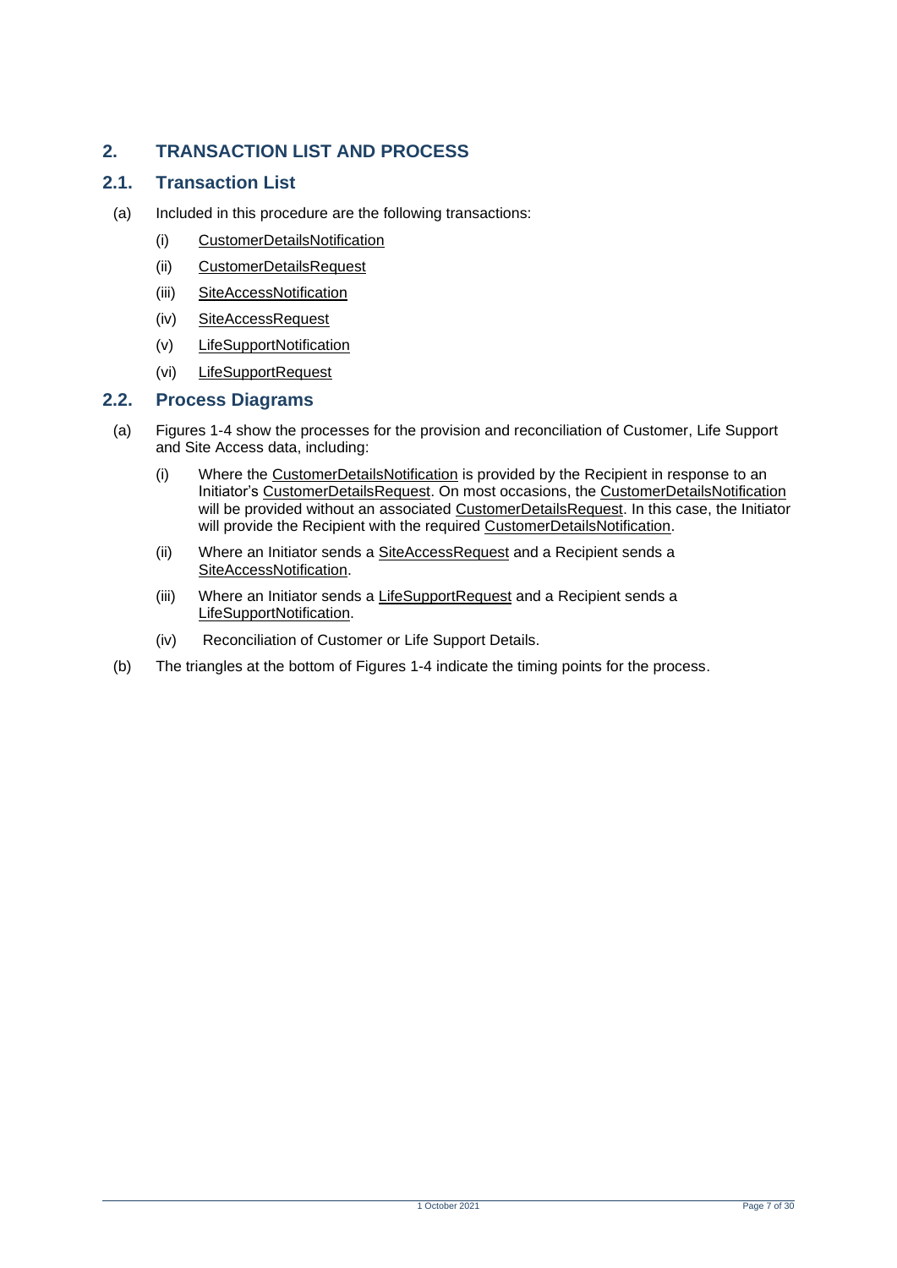# <span id="page-6-0"></span>**2. TRANSACTION LIST AND PROCESS**

# <span id="page-6-1"></span>**2.1. Transaction List**

- (a) Included in this procedure are the following transactions:
	- (i) CustomerDetailsNotification
	- (ii) CustomerDetailsRequest
	- (iii) SiteAccessNotification
	- (iv) SiteAccessRequest
	- (v) LifeSupportNotification
	- (vi) LifeSupportRequest

### <span id="page-6-2"></span>**2.2. Process Diagrams**

- (a) Figures 1-4 show the processes for the provision and reconciliation of Customer, Life Support and Site Access data, including:
	- (i) Where the CustomerDetailsNotification is provided by the Recipient in response to an Initiator's CustomerDetailsRequest. On most occasions, the CustomerDetailsNotification will be provided without an associated CustomerDetailsRequest. In this case, the Initiator will provide the Recipient with the required CustomerDetailsNotification.
	- (ii) Where an Initiator sends a SiteAccessRequest and a Recipient sends a SiteAccessNotification.
	- (iii) Where an Initiator sends a LifeSupportRequest and a Recipient sends a LifeSupportNotification.
	- (iv) Reconciliation of Customer or Life Support Details.
- (b) The triangles at the bottom of Figures 1-4 indicate the timing points for the process.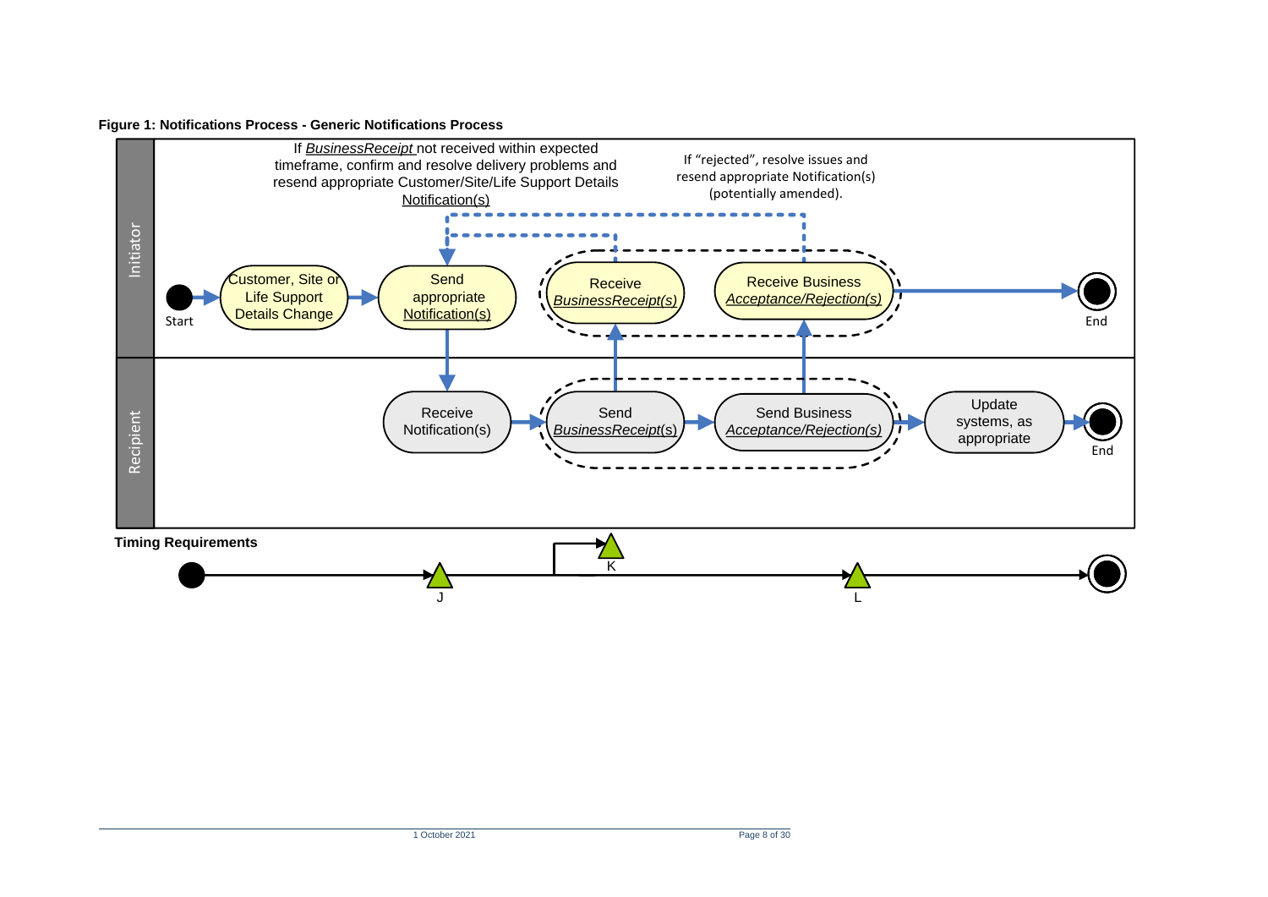#### **Figure 1: Notifications Process - Generic Notifications Process**

<span id="page-7-0"></span>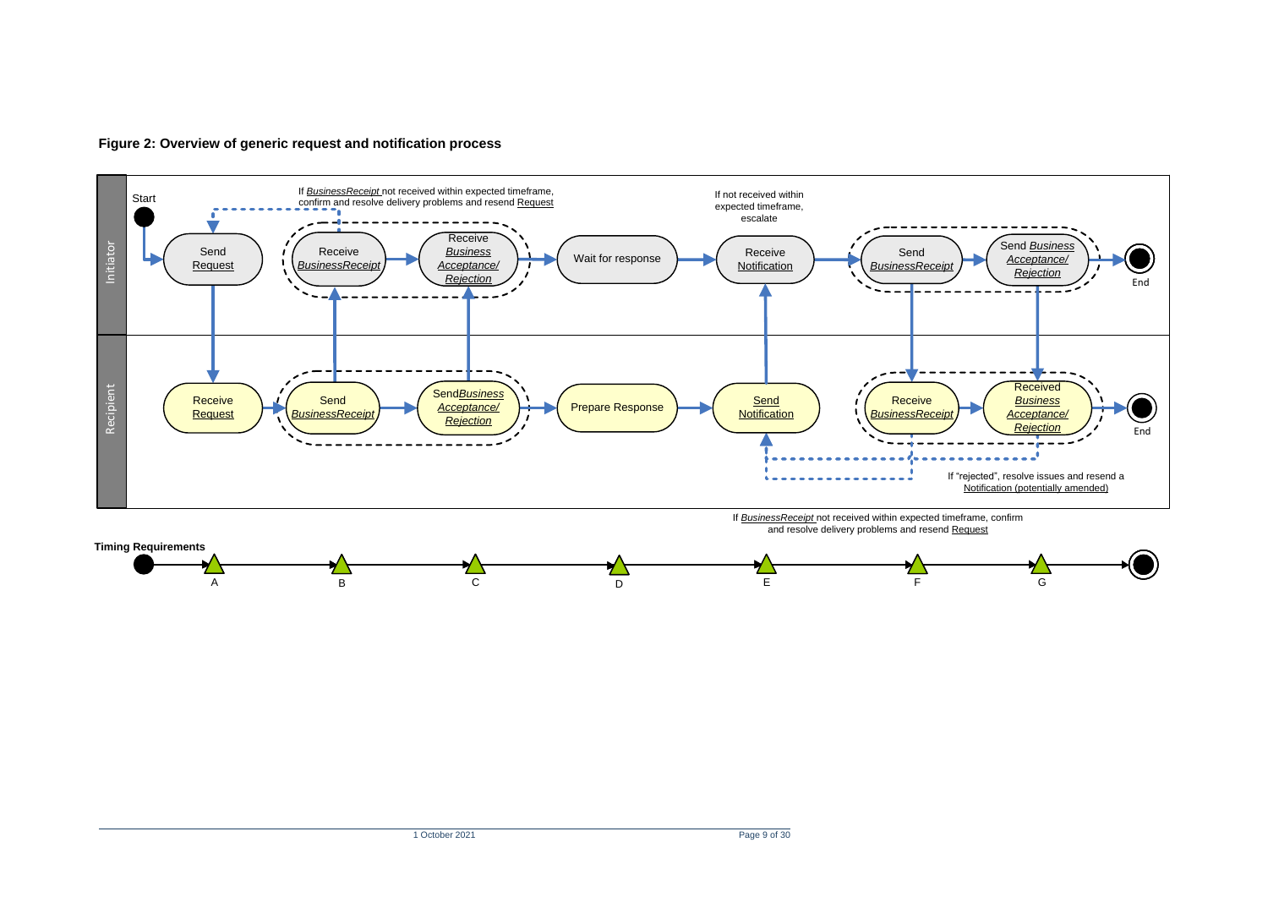

<span id="page-8-0"></span>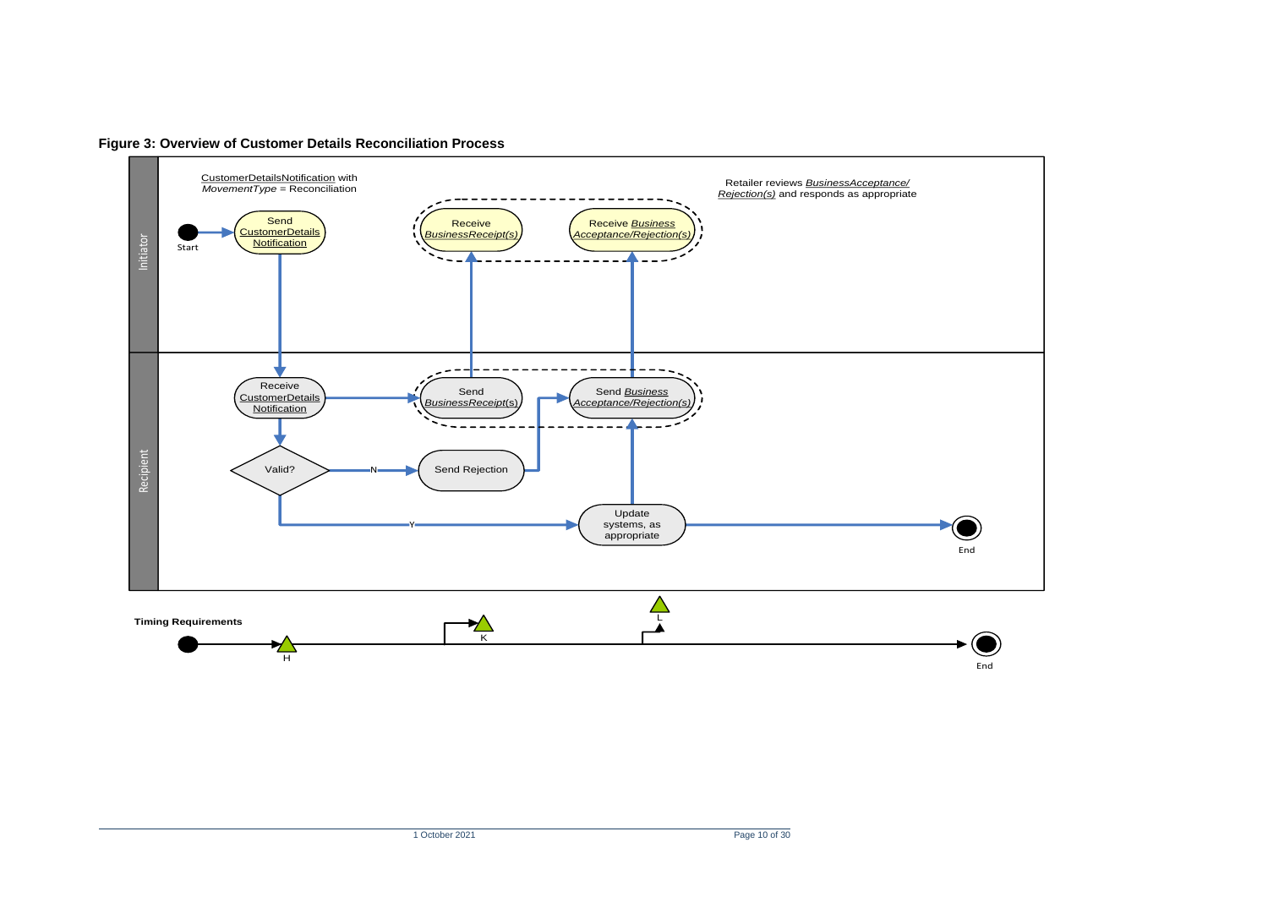<span id="page-9-0"></span>

**Figure 3: Overview of Customer Details Reconciliation Process**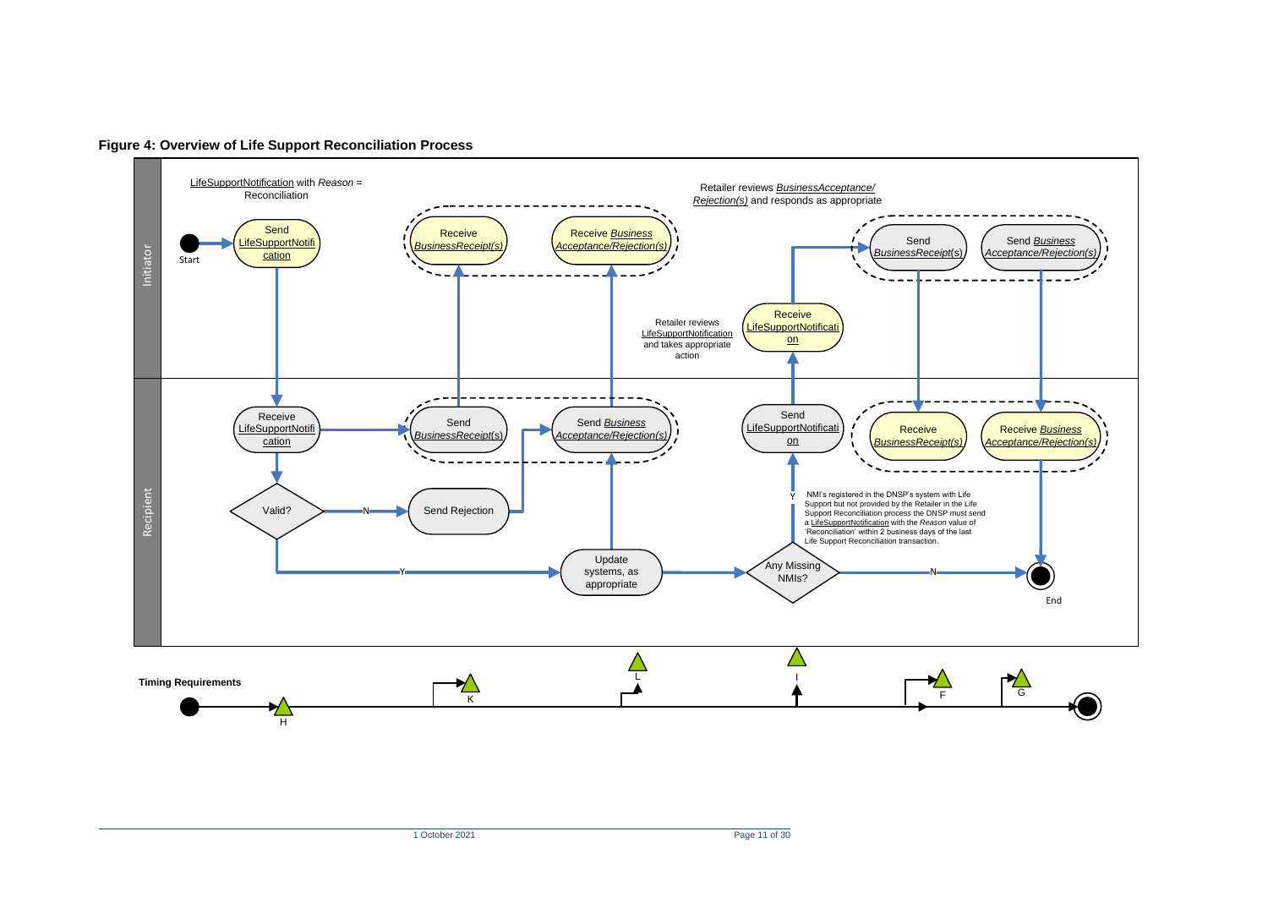<span id="page-10-0"></span>

**Figure 4: Overview of Life Support Reconciliation Process**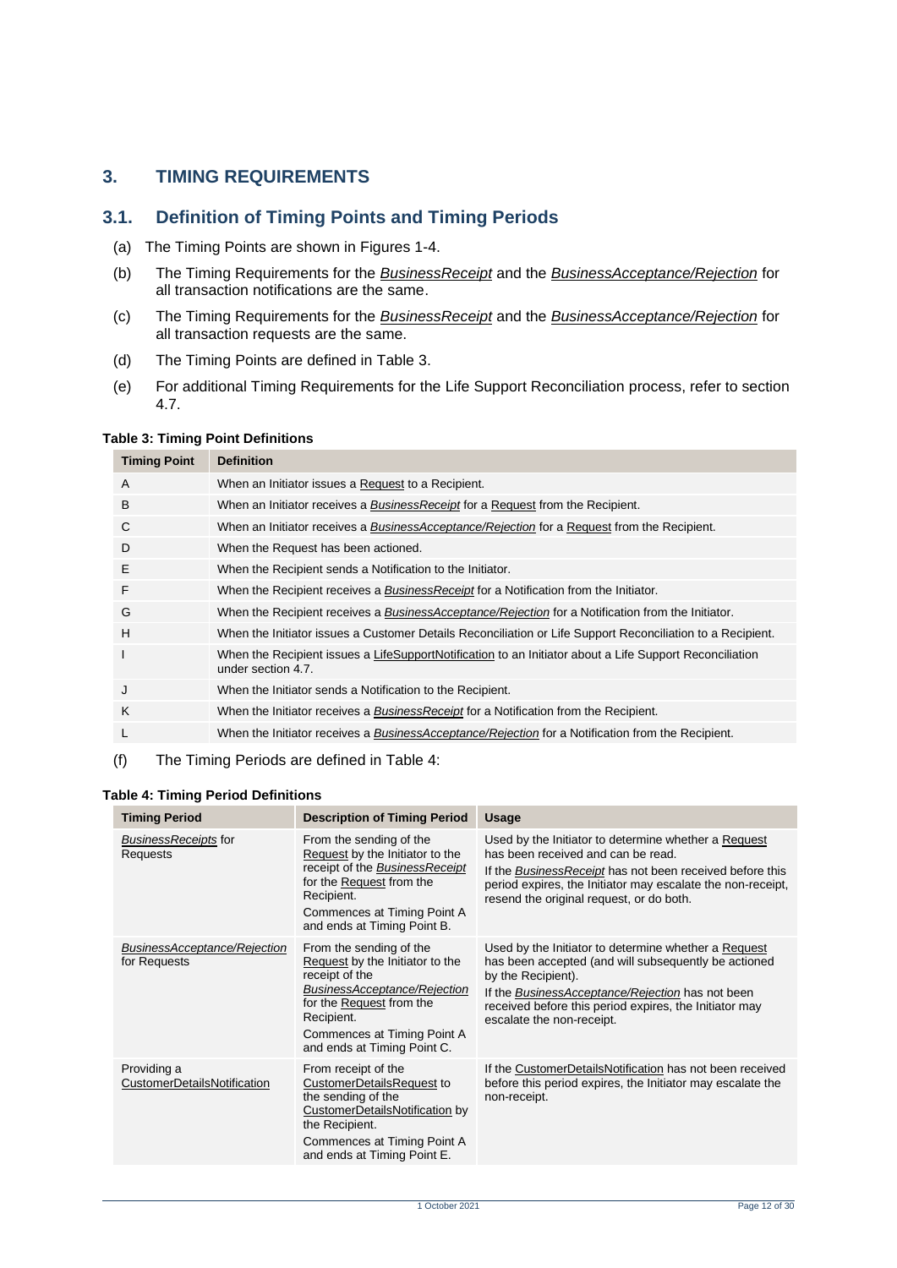# <span id="page-11-0"></span>**3. TIMING REQUIREMENTS**

### <span id="page-11-1"></span>**3.1. Definition of Timing Points and Timing Periods**

- (a) The Timing Points are shown in Figures 1-4.
- (b) The Timing Requirements for the *BusinessReceipt* and the *BusinessAcceptance/Rejection* for all transaction notifications are the same.
- (c) The Timing Requirements for the *BusinessReceipt* and the *BusinessAcceptance/Rejection* for all transaction requests are the same.
- (d) The Timing Points are defined in [Table 3.](#page-11-2)
- (e) For additional Timing Requirements for the Life Support Reconciliation process, refer to section 4.7.

#### <span id="page-11-2"></span>**Table 3: Timing Point Definitions**

| <b>Timing Point</b> | <b>Definition</b>                                                                                                             |
|---------------------|-------------------------------------------------------------------------------------------------------------------------------|
| A                   | When an Initiator issues a Request to a Recipient.                                                                            |
| B                   | When an Initiator receives a <b>BusinessReceipt</b> for a Request from the Recipient.                                         |
| C                   | When an Initiator receives a BusinessAcceptance/Rejection for a Request from the Recipient.                                   |
| D                   | When the Request has been actioned.                                                                                           |
| Ε                   | When the Recipient sends a Notification to the Initiator.                                                                     |
| F                   | When the Recipient receives a Business Receipt for a Notification from the Initiator.                                         |
| G                   | When the Recipient receives a BusinessAcceptance/Rejection for a Notification from the Initiator.                             |
| H                   | When the Initiator issues a Customer Details Reconciliation or Life Support Reconciliation to a Recipient.                    |
| ı                   | When the Recipient issues a LifeSupportNotification to an Initiator about a Life Support Reconciliation<br>under section 4.7. |
| J                   | When the Initiator sends a Notification to the Recipient.                                                                     |
| K                   | When the Initiator receives a <i>BusinessReceipt</i> for a Notification from the Recipient.                                   |
| L                   | When the Initiator receives a BusinessAcceptance/Rejection for a Notification from the Recipient.                             |
|                     |                                                                                                                               |

#### (f) The Timing Periods are defined in Table 4:

#### <span id="page-11-3"></span>**Table 4: Timing Period Definitions**

| <b>Timing Period</b>                         | <b>Description of Timing Period</b>                                                                                                                                                                                  | <b>Usage</b>                                                                                                                                                                                                                                                                  |
|----------------------------------------------|----------------------------------------------------------------------------------------------------------------------------------------------------------------------------------------------------------------------|-------------------------------------------------------------------------------------------------------------------------------------------------------------------------------------------------------------------------------------------------------------------------------|
| BusinessReceipts for<br>Requests             | From the sending of the<br>Request by the Initiator to the<br>receipt of the BusinessReceipt<br>for the Request from the<br>Recipient.<br>Commences at Timing Point A<br>and ends at Timing Point B.                 | Used by the Initiator to determine whether a Request<br>has been received and can be read.<br>If the Business Receipt has not been received before this<br>period expires, the Initiator may escalate the non-receipt,<br>resend the original request, or do both.            |
| BusinessAcceptance/Rejection<br>for Requests | From the sending of the<br>Request by the Initiator to the<br>receipt of the<br>BusinessAcceptance/Rejection<br>for the Request from the<br>Recipient.<br>Commences at Timing Point A<br>and ends at Timing Point C. | Used by the Initiator to determine whether a Request<br>has been accepted (and will subsequently be actioned<br>by the Recipient).<br>If the BusinessAcceptance/Rejection has not been<br>received before this period expires, the Initiator may<br>escalate the non-receipt. |
| Providing a<br>CustomerDetailsNotification   | From receipt of the<br>CustomerDetailsRequest to<br>the sending of the<br>CustomerDetailsNotification by<br>the Recipient.<br>Commences at Timing Point A<br>and ends at Timing Point E.                             | If the CustomerDetailsNotification has not been received<br>before this period expires, the Initiator may escalate the<br>non-receipt.                                                                                                                                        |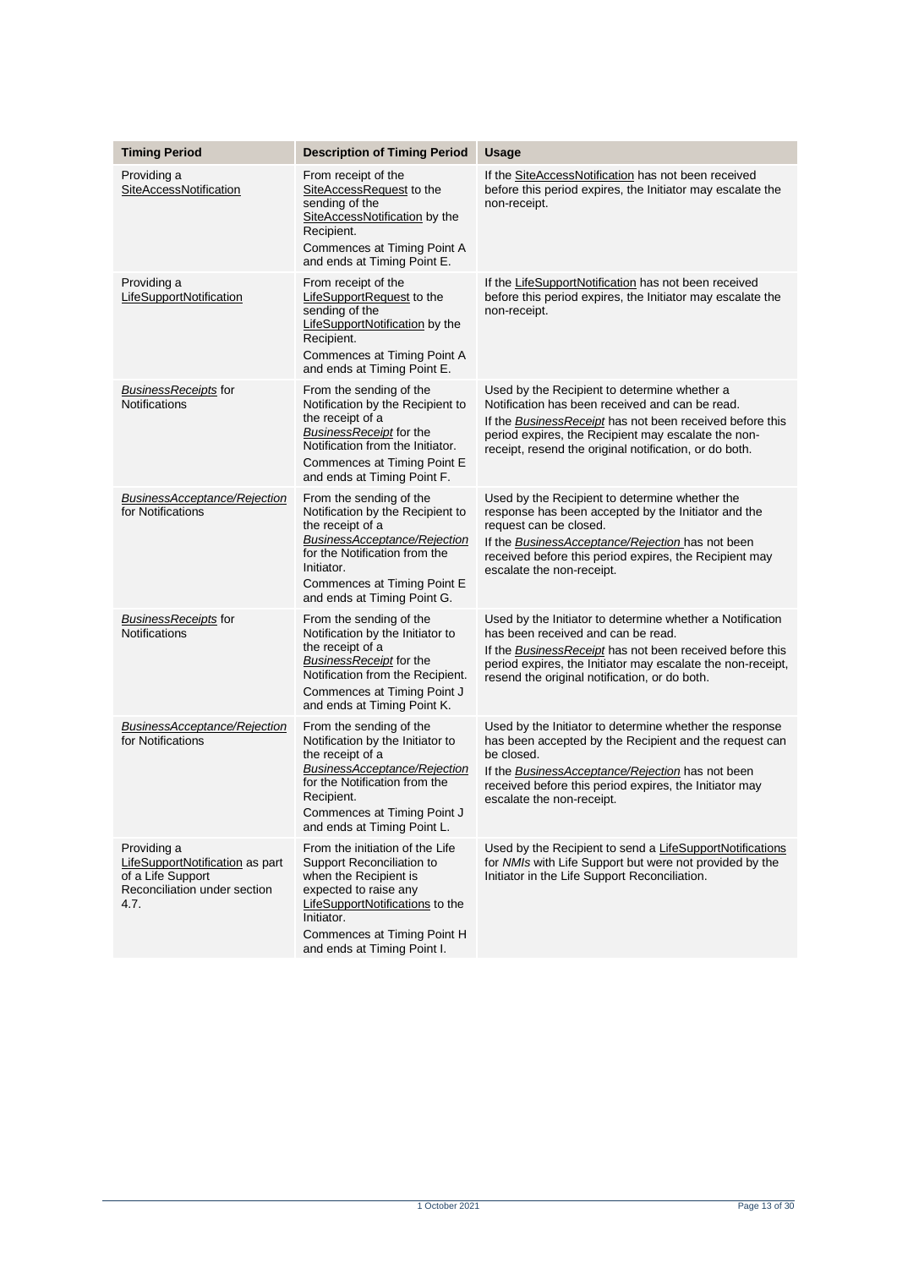| <b>Timing Period</b>                                                                                        | <b>Description of Timing Period</b>                                                                                                                                                                                           | <b>Usage</b>                                                                                                                                                                                                                                                                      |
|-------------------------------------------------------------------------------------------------------------|-------------------------------------------------------------------------------------------------------------------------------------------------------------------------------------------------------------------------------|-----------------------------------------------------------------------------------------------------------------------------------------------------------------------------------------------------------------------------------------------------------------------------------|
| Providing a                                                                                                 |                                                                                                                                                                                                                               |                                                                                                                                                                                                                                                                                   |
| SiteAccessNotification                                                                                      | From receipt of the<br>SiteAccessRequest to the<br>sending of the<br>SiteAccessNotification by the<br>Recipient.<br>Commences at Timing Point A<br>and ends at Timing Point E.                                                | If the SiteAccessNotification has not been received<br>before this period expires, the Initiator may escalate the<br>non-receipt.                                                                                                                                                 |
| Providing a<br>LifeSupportNotification                                                                      | From receipt of the<br>LifeSupportRequest to the<br>sending of the<br>LifeSupportNotification by the<br>Recipient.<br>Commences at Timing Point A<br>and ends at Timing Point E.                                              | If the LifeSupportNotification has not been received<br>before this period expires, the Initiator may escalate the<br>non-receipt.                                                                                                                                                |
| <b>BusinessReceipts for</b><br><b>Notifications</b>                                                         | From the sending of the<br>Notification by the Recipient to<br>the receipt of a<br>BusinessReceipt for the<br>Notification from the Initiator.<br>Commences at Timing Point E<br>and ends at Timing Point F.                  | Used by the Recipient to determine whether a<br>Notification has been received and can be read.<br>If the Business Receipt has not been received before this<br>period expires, the Recipient may escalate the non-<br>receipt, resend the original notification, or do both.     |
| BusinessAcceptance/Rejection<br>for Notifications                                                           | From the sending of the<br>Notification by the Recipient to<br>the receipt of a<br>BusinessAcceptance/Rejection<br>for the Notification from the<br>Initiator.<br>Commences at Timing Point E<br>and ends at Timing Point G.  | Used by the Recipient to determine whether the<br>response has been accepted by the Initiator and the<br>request can be closed.<br>If the <b>BusinessAcceptance/Rejection</b> has not been<br>received before this period expires, the Recipient may<br>escalate the non-receipt. |
| <b>BusinessReceipts for</b><br><b>Notifications</b>                                                         | From the sending of the<br>Notification by the Initiator to<br>the receipt of a<br>BusinessReceipt for the<br>Notification from the Recipient.<br>Commences at Timing Point J<br>and ends at Timing Point K.                  | Used by the Initiator to determine whether a Notification<br>has been received and can be read.<br>If the Business Receipt has not been received before this<br>period expires, the Initiator may escalate the non-receipt,<br>resend the original notification, or do both.      |
| BusinessAcceptance/Rejection<br>for Notifications                                                           | From the sending of the<br>Notification by the Initiator to<br>the receipt of a<br>BusinessAcceptance/Rejection<br>for the Notification from the<br>Recipient.<br>Commences at Timing Point J<br>and ends at Timing Point L.  | Used by the Initiator to determine whether the response<br>has been accepted by the Recipient and the request can<br>be closed.<br>If the <b>BusinessAcceptance/Rejection</b> has not been<br>received before this period expires, the Initiator may<br>escalate the non-receipt. |
| Providing a<br>LifeSupportNotification as part<br>of a Life Support<br>Reconciliation under section<br>4.7. | From the initiation of the Life<br>Support Reconciliation to<br>when the Recipient is<br>expected to raise any<br>LifeSupportNotifications to the<br>Initiator.<br>Commences at Timing Point H<br>and ends at Timing Point I. | Used by the Recipient to send a LifeSupportNotifications<br>for NMIs with Life Support but were not provided by the<br>Initiator in the Life Support Reconciliation.                                                                                                              |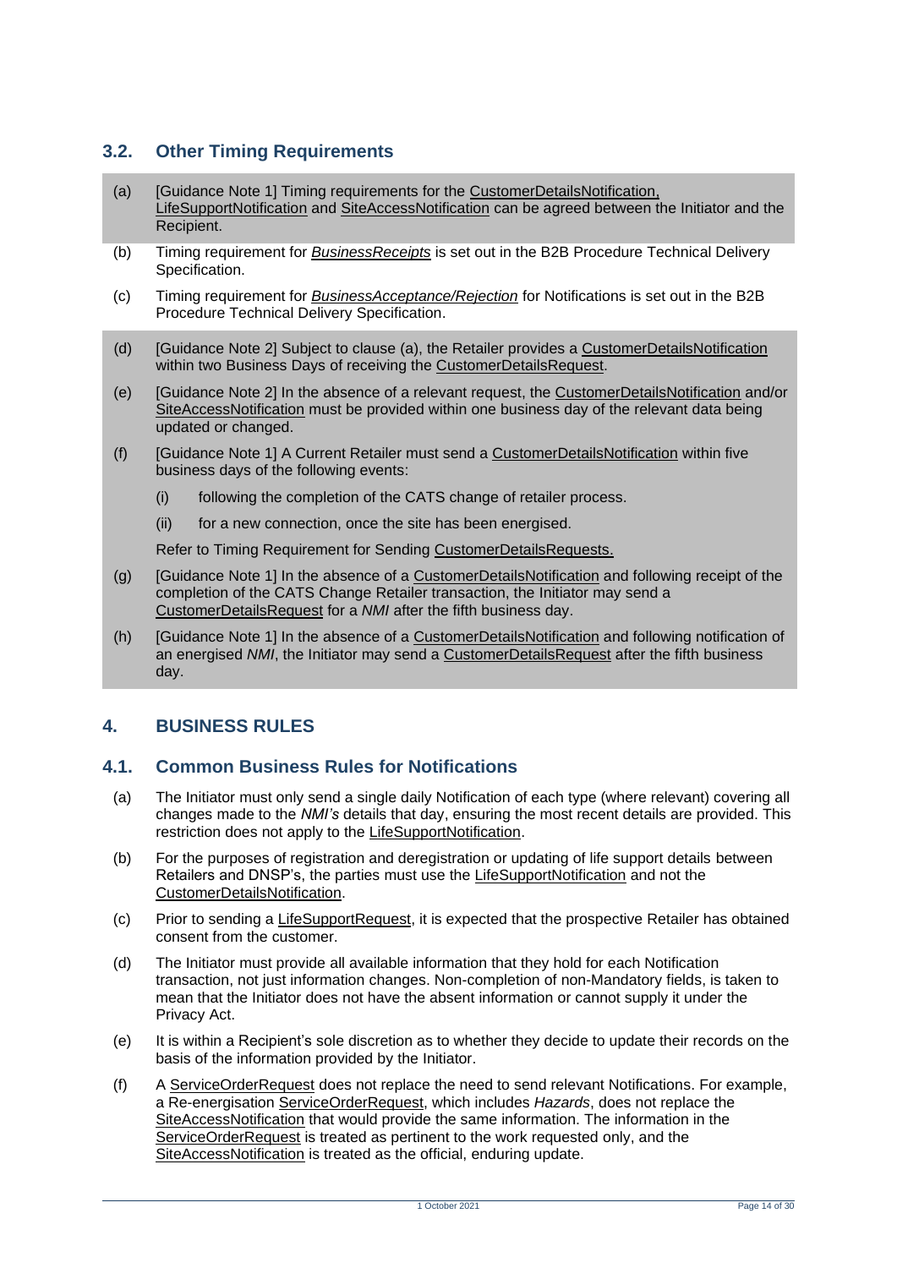# <span id="page-13-0"></span>**3.2. Other Timing Requirements**

- <span id="page-13-3"></span>(a) [Guidance Note 1] Timing requirements for the CustomerDetailsNotification, LifeSupportNotification and SiteAccessNotification can be agreed between the Initiator and the Recipient.
- (b) Timing requirement for *BusinessReceipts* is set out in the B2B Procedure Technical Delivery Specification.
- (c) Timing requirement for *BusinessAcceptance/Rejection* for Notifications is set out in the B2B Procedure Technical Delivery Specification.
- (d) [Guidance Note 2] Subject to clause [\(a\),](#page-13-3) the Retailer provides a CustomerDetailsNotification within two Business Days of receiving the CustomerDetailsRequest.
- (e) [Guidance Note 2] In the absence of a relevant request, the CustomerDetailsNotification and/or SiteAccessNotification must be provided within one business day of the relevant data being updated or changed.
- (f) [Guidance Note 1] A Current Retailer must send a CustomerDetailsNotification within five business days of the following events:
	- (i) following the completion of the CATS change of retailer process.
	- (ii) for a new connection, once the site has been energised.

Refer to Timing Requirement for Sending CustomerDetailsRequests.

- (g) [Guidance Note 1] In the absence of a CustomerDetailsNotification and following receipt of the completion of the CATS Change Retailer transaction, the Initiator may send a CustomerDetailsRequest for a *NMI* after the fifth business day.
- (h) [Guidance Note 1] In the absence of a CustomerDetailsNotification and following notification of an energised *NMI*, the Initiator may send a CustomerDetailsRequest after the fifth business day.

# <span id="page-13-1"></span>**4. BUSINESS RULES**

### <span id="page-13-2"></span>**4.1. Common Business Rules for Notifications**

- (a) The Initiator must only send a single daily Notification of each type (where relevant) covering all changes made to the *NMI's* details that day, ensuring the most recent details are provided. This restriction does not apply to the LifeSupportNotification.
- (b) For the purposes of registration and deregistration or updating of life support details between Retailers and DNSP's, the parties must use the LifeSupportNotification and not the CustomerDetailsNotification.
- (c) Prior to sending a LifeSupportRequest, it is expected that the prospective Retailer has obtained consent from the customer.
- (d) The Initiator must provide all available information that they hold for each Notification transaction, not just information changes. Non-completion of non-Mandatory fields, is taken to mean that the Initiator does not have the absent information or cannot supply it under the Privacy Act.
- (e) It is within a Recipient's sole discretion as to whether they decide to update their records on the basis of the information provided by the Initiator.
- (f) A ServiceOrderRequest does not replace the need to send relevant Notifications. For example, a Re-energisation ServiceOrderRequest, which includes *Hazards*, does not replace the SiteAccessNotification that would provide the same information. The information in the ServiceOrderRequest is treated as pertinent to the work requested only, and the SiteAccessNotification is treated as the official, enduring update.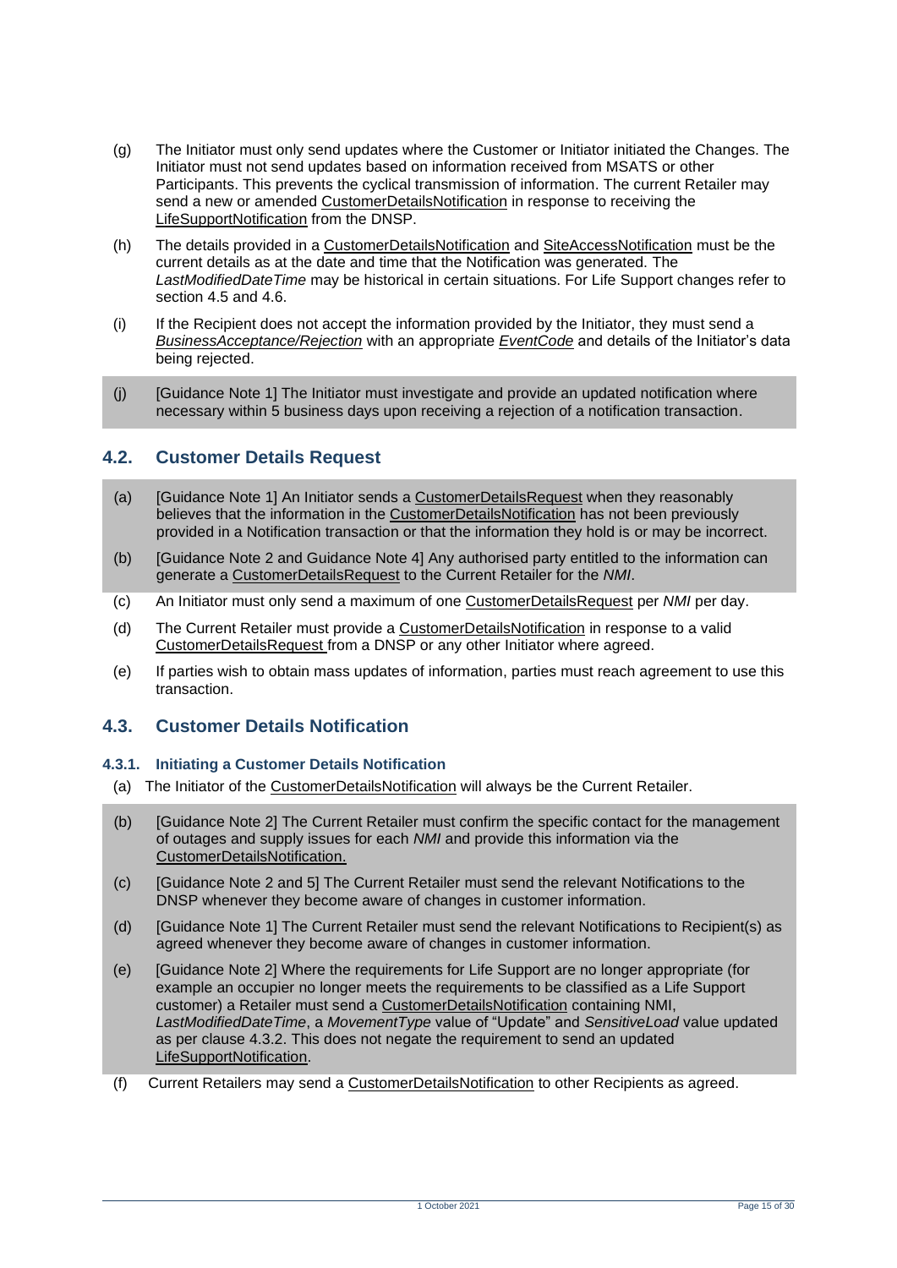- (g) The Initiator must only send updates where the Customer or Initiator initiated the Changes. The Initiator must not send updates based on information received from MSATS or other Participants. This prevents the cyclical transmission of information. The current Retailer may send a new or amended CustomerDetailsNotification in response to receiving the LifeSupportNotification from the DNSP.
- (h) The details provided in a CustomerDetailsNotification and SiteAccessNotification must be the current details as at the date and time that the Notification was generated. The *LastModifiedDateTime* may be historical in certain situations. For Life Support changes refer to section 4.5 and 4.6.
- (i) If the Recipient does not accept the information provided by the Initiator, they must send a *BusinessAcceptance/Rejection* with an appropriate *EventCode* and details of the Initiator's data being rejected.
- (j) [Guidance Note 1] The Initiator must investigate and provide an updated notification where necessary within 5 business days upon receiving a rejection of a notification transaction.

# <span id="page-14-0"></span>**4.2. Customer Details Request**

- (a) [Guidance Note 1] An Initiator sends a CustomerDetailsRequest when they reasonably believes that the information in the CustomerDetailsNotification has not been previously provided in a Notification transaction or that the information they hold is or may be incorrect.
- (b) [Guidance Note 2 and Guidance Note 4] Any authorised party entitled to the information can generate a CustomerDetailsRequest to the Current Retailer for the *NMI*.
- (c) An Initiator must only send a maximum of one CustomerDetailsRequest per *NMI* per day.
- (d) The Current Retailer must provide a CustomerDetailsNotification in response to a valid CustomerDetailsRequest from a DNSP or any other Initiator where agreed.
- (e) If parties wish to obtain mass updates of information, parties must reach agreement to use this transaction.

# <span id="page-14-1"></span>**4.3. Customer Details Notification**

#### **4.3.1. Initiating a Customer Details Notification**

(a) The Initiator of the CustomerDetailsNotification will always be the Current Retailer.

- (b) [Guidance Note 2] The Current Retailer must confirm the specific contact for the management of outages and supply issues for each *NMI* and provide this information via the CustomerDetailsNotification.
- (c) [Guidance Note 2 and 5] The Current Retailer must send the relevant Notifications to the DNSP whenever they become aware of changes in customer information.
- (d) [Guidance Note 1] The Current Retailer must send the relevant Notifications to Recipient(s) as agreed whenever they become aware of changes in customer information.
- (e) [Guidance Note 2] Where the requirements for Life Support are no longer appropriate (for example an occupier no longer meets the requirements to be classified as a Life Support customer) a Retailer must send a CustomerDetailsNotification containing NMI, *LastModifiedDateTime*, a *MovementType* value of "Update" and *SensitiveLoad* value updated as per clause 4.3.2. This does not negate the requirement to send an updated LifeSupportNotification.
- (f) Current Retailers may send a CustomerDetailsNotification to other Recipients as agreed.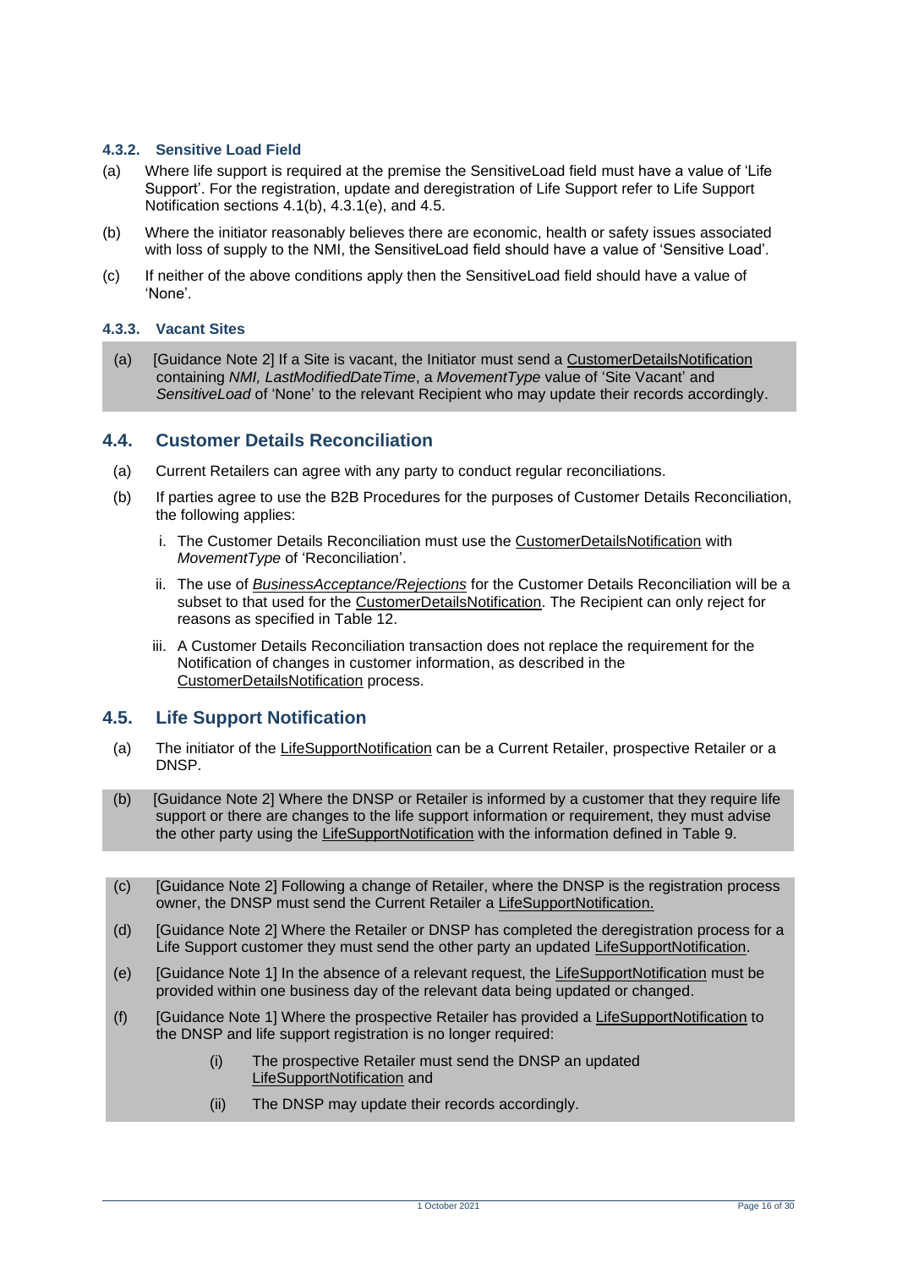#### **4.3.2. Sensitive Load Field**

- (a) Where life support is required at the premise the SensitiveLoad field must have a value of 'Life Support'. For the registration, update and deregistration of Life Support refer to Life Support Notification sections 4.1(b), 4.3.1(e), and 4.5.
- (b) Where the initiator reasonably believes there are economic, health or safety issues associated with loss of supply to the NMI, the SensitiveLoad field should have a value of 'Sensitive Load'.
- (c) If neither of the above conditions apply then the SensitiveLoad field should have a value of 'None'.

#### **4.3.3. Vacant Sites**

(a) [Guidance Note 2] If a Site is vacant, the Initiator must send a CustomerDetailsNotification containing *NMI, LastModifiedDateTime*, a *MovementType* value of 'Site Vacant' and *SensitiveLoad* of 'None' to the relevant Recipient who may update their records accordingly.

### <span id="page-15-0"></span>**4.4. Customer Details Reconciliation**

- (a) Current Retailers can agree with any party to conduct regular reconciliations.
- (b) If parties agree to use the B2B Procedures for the purposes of Customer Details Reconciliation, the following applies:
	- i. The Customer Details Reconciliation must use the CustomerDetailsNotification with *MovementType* of 'Reconciliation'.
	- ii. The use of *BusinessAcceptance/Rejections* for the Customer Details Reconciliation will be a subset to that used for the CustomerDetailsNotification. The Recipient can only reject for reasons as specified in Table 12.
	- iii. A Customer Details Reconciliation transaction does not replace the requirement for the Notification of changes in customer information, as described in the CustomerDetailsNotification process.

### <span id="page-15-1"></span>**4.5. Life Support Notification**

- (a) The initiator of the LifeSupportNotification can be a Current Retailer, prospective Retailer or a DNSP.
- (b) [Guidance Note 2] Where the DNSP or Retailer is informed by a customer that they require life support or there are changes to the life support information or requirement, they must advise the other party using the LifeSupportNotification with the information defined in Table 9.
- (c) [Guidance Note 2] Following a change of Retailer, where the DNSP is the registration process owner, the DNSP must send the Current Retailer a LifeSupportNotification.
- (d) [Guidance Note 2] Where the Retailer or DNSP has completed the deregistration process for a Life Support customer they must send the other party an updated LifeSupportNotification.
- (e) [Guidance Note 1] In the absence of a relevant request, the LifeSupportNotification must be provided within one business day of the relevant data being updated or changed.
- (f) [Guidance Note 1] Where the prospective Retailer has provided a LifeSupportNotification to the DNSP and life support registration is no longer required:
	- (i) The prospective Retailer must send the DNSP an updated LifeSupportNotification and
	- (ii) The DNSP may update their records accordingly.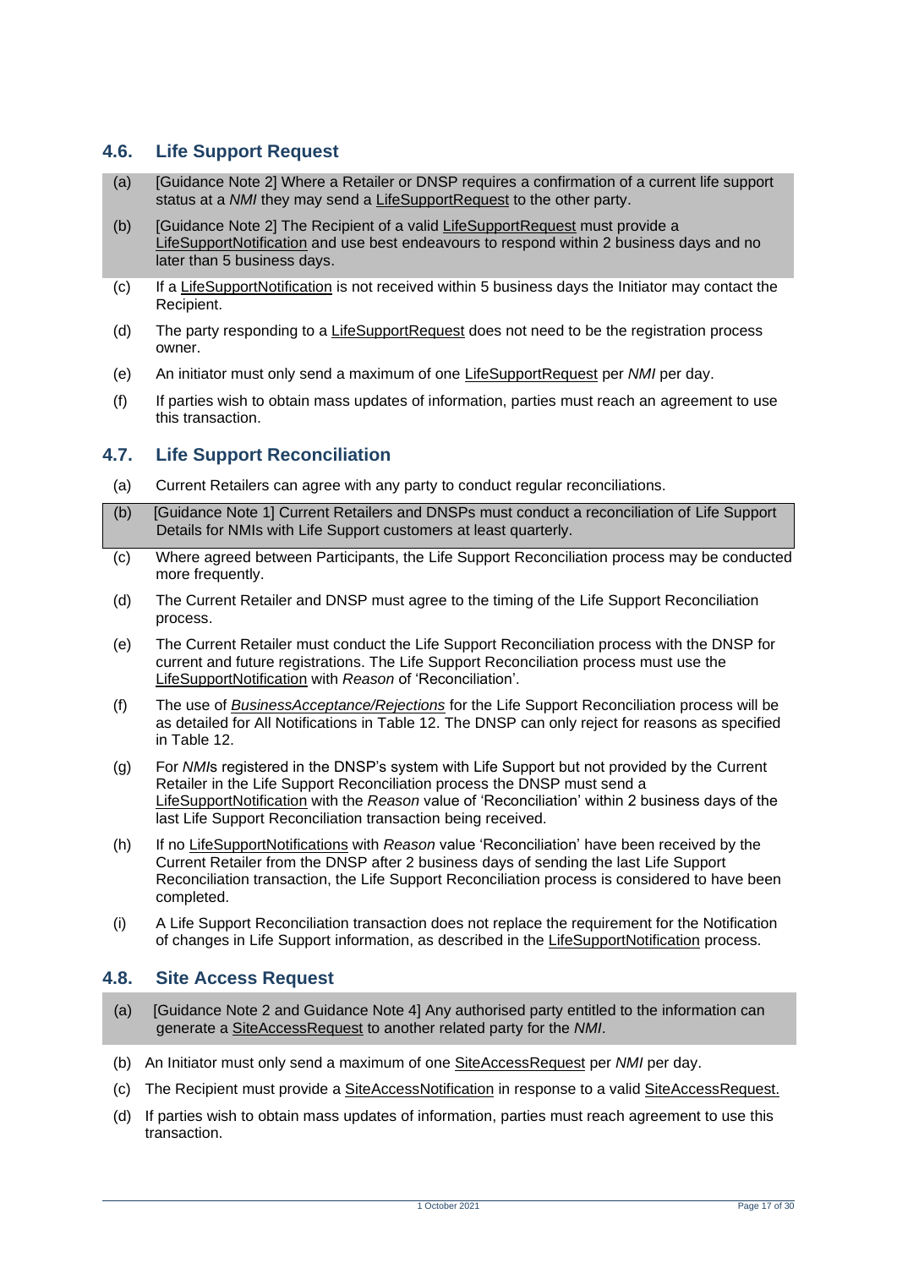# <span id="page-16-0"></span>**4.6. Life Support Request**

- (a) [Guidance Note 2] Where a Retailer or DNSP requires a confirmation of a current life support status at a *NMI* they may send a LifeSupportRequest to the other party.
- (b) [Guidance Note 2] The Recipient of a valid LifeSupportRequest must provide a LifeSupportNotification and use best endeavours to respond within 2 business days and no later than 5 business days.
- (c) If a LifeSupportNotification is not received within 5 business days the Initiator may contact the Recipient.
- (d) The party responding to a LifeSupportRequest does not need to be the registration process owner.
- (e) An initiator must only send a maximum of one LifeSupportRequest per *NMI* per day.
- (f) If parties wish to obtain mass updates of information, parties must reach an agreement to use this transaction.

# <span id="page-16-1"></span>**4.7. Life Support Reconciliation**

- (a) Current Retailers can agree with any party to conduct regular reconciliations.
- (b) [Guidance Note 1] Current Retailers and DNSPs must conduct a reconciliation of Life Support Details for NMIs with Life Support customers at least quarterly.
- (c) Where agreed between Participants, the Life Support Reconciliation process may be conducted more frequently.
- (d) The Current Retailer and DNSP must agree to the timing of the Life Support Reconciliation process.
- (e) The Current Retailer must conduct the Life Support Reconciliation process with the DNSP for current and future registrations. The Life Support Reconciliation process must use the LifeSupportNotification with *Reason* of 'Reconciliation'.
- (f) The use of *BusinessAcceptance/Rejections* for the Life Support Reconciliation process will be as detailed for All Notifications in Table 12. The DNSP can only reject for reasons as specified in Table 12.
- (g) For *NMI*s registered in the DNSP's system with Life Support but not provided by the Current Retailer in the Life Support Reconciliation process the DNSP must send a LifeSupportNotification with the *Reason* value of 'Reconciliation' within 2 business days of the last Life Support Reconciliation transaction being received.
- (h) If no LifeSupportNotifications with *Reason* value 'Reconciliation' have been received by the Current Retailer from the DNSP after 2 business days of sending the last Life Support Reconciliation transaction, the Life Support Reconciliation process is considered to have been completed.
- (i) A Life Support Reconciliation transaction does not replace the requirement for the Notification of changes in Life Support information, as described in the LifeSupportNotification process.

### <span id="page-16-2"></span>**4.8. Site Access Request**

- (a) [Guidance Note 2 and Guidance Note 4] Any authorised party entitled to the information can generate a SiteAccessRequest to another related party for the *NMI*.
- (b) An Initiator must only send a maximum of one SiteAccessRequest per *NMI* per day.
- (c) The Recipient must provide a SiteAccessNotification in response to a valid SiteAccessRequest.
- (d) If parties wish to obtain mass updates of information, parties must reach agreement to use this transaction.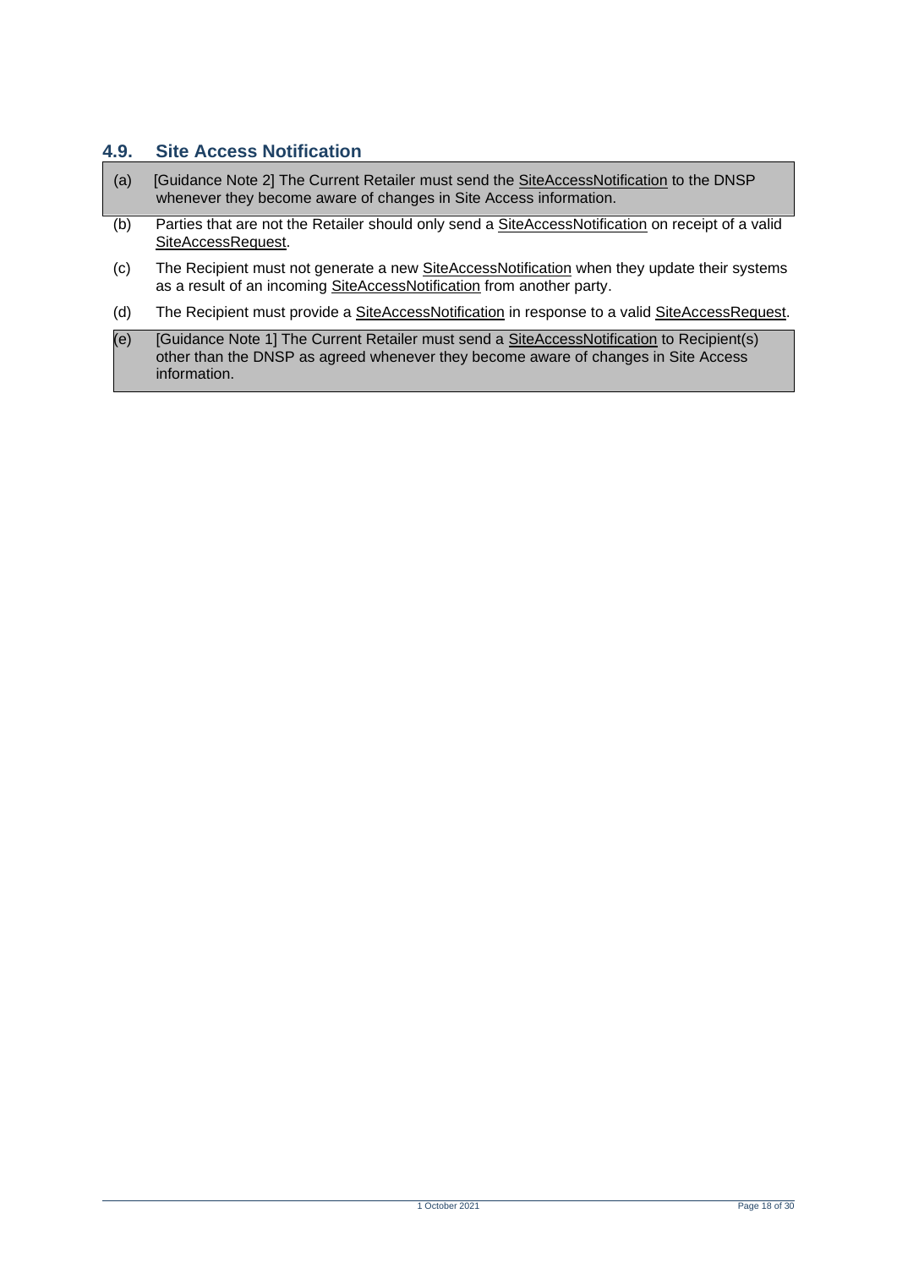# <span id="page-17-0"></span>**4.9. Site Access Notification**

- (a) [Guidance Note 2] The Current Retailer must send the SiteAccessNotification to the DNSP whenever they become aware of changes in Site Access information.
- (b) Parties that are not the Retailer should only send a SiteAccessNotification on receipt of a valid SiteAccessRequest.
- (c) The Recipient must not generate a new SiteAccessNotification when they update their systems as a result of an incoming SiteAccessNotification from another party.
- (d) The Recipient must provide a SiteAccessNotification in response to a valid SiteAccessRequest.
- (e) [Guidance Note 1] The Current Retailer must send a SiteAccessNotification to Recipient(s) other than the DNSP as agreed whenever they become aware of changes in Site Access information.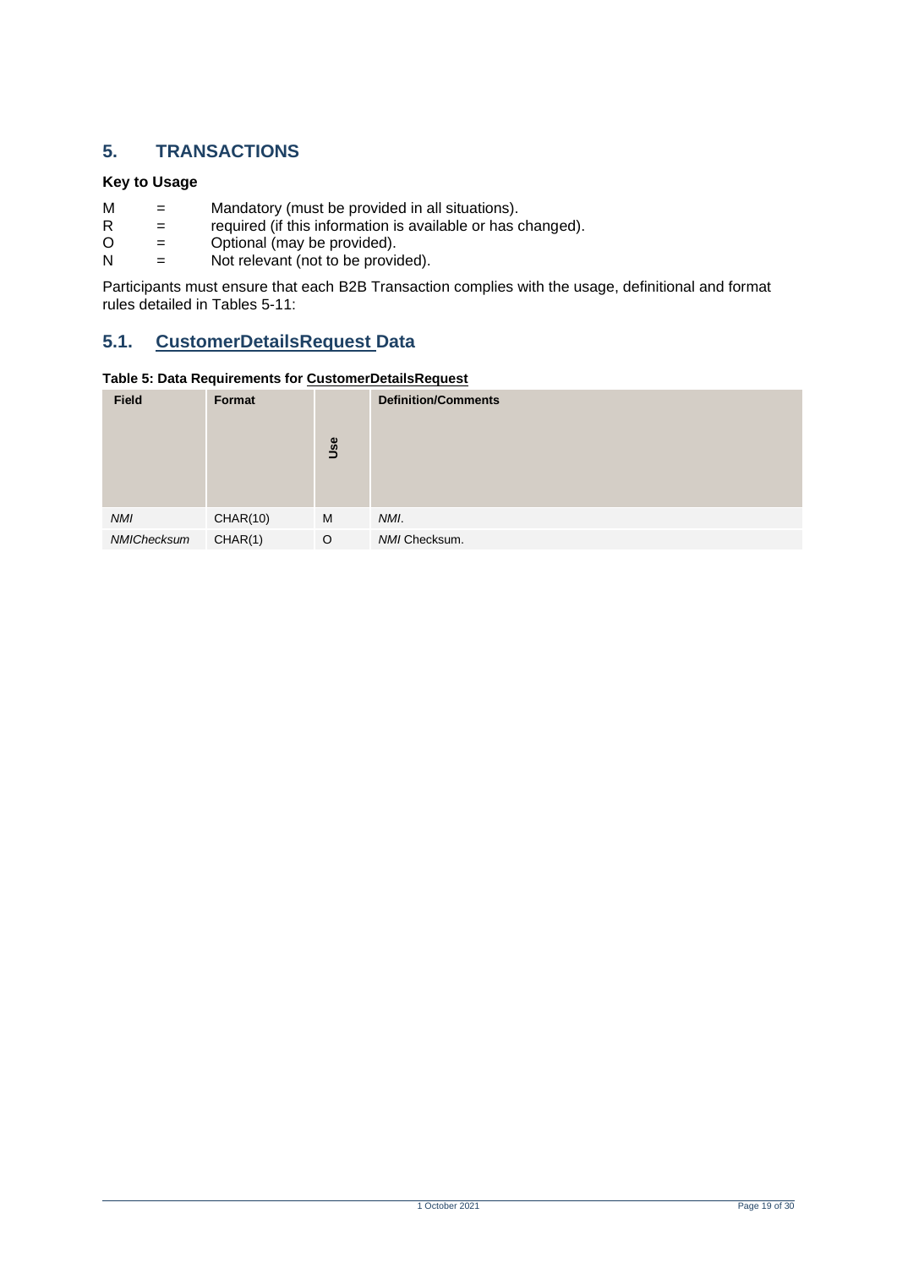# <span id="page-18-0"></span>**5. TRANSACTIONS**

#### **Key to Usage**

- $M =$  Mandatory (must be provided in all situations).<br>R = required (if this information is available or has o
- $R =$  required (if this information is available or has changed).<br>  $Q =$  Optional (may be provided).
- $O =$  Optional (may be provided).<br>  $N =$  Not relevant (not to be provided).
- Not relevant (not to be provided).

Participants must ensure that each B2B Transaction complies with the usage, definitional and format rules detailed in Tables 5-11:

# <span id="page-18-1"></span>**5.1. CustomerDetailsRequest Data**

#### <span id="page-18-2"></span>**Table 5: Data Requirements for CustomerDetailsRequest**

| <b>Field</b> | Format          | Use | <b>Definition/Comments</b> |
|--------------|-----------------|-----|----------------------------|
| <b>NMI</b>   | <b>CHAR(10)</b> | M   | NMI.                       |
| NMIChecksum  | CHAR(1)         | O   | NMI Checksum.              |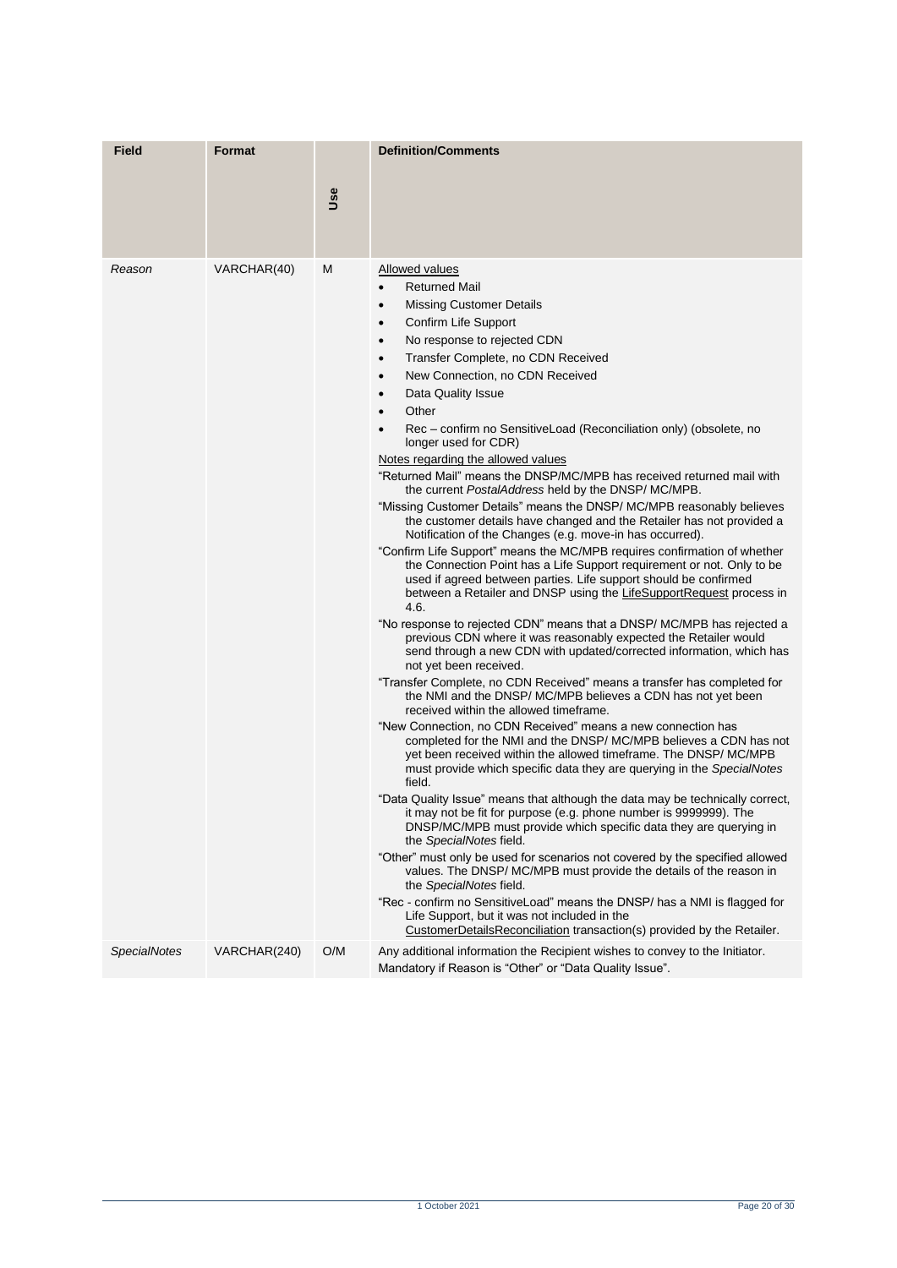| <b>Field</b>        | <b>Format</b> |     | <b>Definition/Comments</b>                                                                                                                                                                                                                                                                                                                                                                                                                                                                                                                                                                                                                                                                                                                                                                                                                                                                                                                                                                                                                                                                                                                                                                                                                                                                                                                                                                                                                                                                                                                                                                                                                                                                                                                                                                                                                                                                                                                                                                                                                                                                                                                                                                                                                                                                                                                                                                                                                                                                                |
|---------------------|---------------|-----|-----------------------------------------------------------------------------------------------------------------------------------------------------------------------------------------------------------------------------------------------------------------------------------------------------------------------------------------------------------------------------------------------------------------------------------------------------------------------------------------------------------------------------------------------------------------------------------------------------------------------------------------------------------------------------------------------------------------------------------------------------------------------------------------------------------------------------------------------------------------------------------------------------------------------------------------------------------------------------------------------------------------------------------------------------------------------------------------------------------------------------------------------------------------------------------------------------------------------------------------------------------------------------------------------------------------------------------------------------------------------------------------------------------------------------------------------------------------------------------------------------------------------------------------------------------------------------------------------------------------------------------------------------------------------------------------------------------------------------------------------------------------------------------------------------------------------------------------------------------------------------------------------------------------------------------------------------------------------------------------------------------------------------------------------------------------------------------------------------------------------------------------------------------------------------------------------------------------------------------------------------------------------------------------------------------------------------------------------------------------------------------------------------------------------------------------------------------------------------------------------------------|
|                     |               | Use |                                                                                                                                                                                                                                                                                                                                                                                                                                                                                                                                                                                                                                                                                                                                                                                                                                                                                                                                                                                                                                                                                                                                                                                                                                                                                                                                                                                                                                                                                                                                                                                                                                                                                                                                                                                                                                                                                                                                                                                                                                                                                                                                                                                                                                                                                                                                                                                                                                                                                                           |
| Reason              | VARCHAR(40)   | M   | Allowed values<br><b>Returned Mail</b><br><b>Missing Customer Details</b><br>$\bullet$<br>Confirm Life Support<br>$\bullet$<br>No response to rejected CDN<br>$\bullet$<br>Transfer Complete, no CDN Received<br>$\bullet$<br>New Connection, no CDN Received<br>$\bullet$<br>Data Quality Issue<br>$\bullet$<br>Other<br>$\bullet$<br>Rec - confirm no SensitiveLoad (Reconciliation only) (obsolete, no<br>longer used for CDR)<br>Notes regarding the allowed values<br>"Returned Mail" means the DNSP/MC/MPB has received returned mail with<br>the current PostalAddress held by the DNSP/MC/MPB.<br>"Missing Customer Details" means the DNSP/ MC/MPB reasonably believes<br>the customer details have changed and the Retailer has not provided a<br>Notification of the Changes (e.g. move-in has occurred).<br>"Confirm Life Support" means the MC/MPB requires confirmation of whether<br>the Connection Point has a Life Support requirement or not. Only to be<br>used if agreed between parties. Life support should be confirmed<br>between a Retailer and DNSP using the LifeSupportRequest process in<br>4.6.<br>"No response to rejected CDN" means that a DNSP/ MC/MPB has rejected a<br>previous CDN where it was reasonably expected the Retailer would<br>send through a new CDN with updated/corrected information, which has<br>not yet been received.<br>"Transfer Complete, no CDN Received" means a transfer has completed for<br>the NMI and the DNSP/MC/MPB believes a CDN has not yet been<br>received within the allowed timeframe.<br>"New Connection, no CDN Received" means a new connection has<br>completed for the NMI and the DNSP/MC/MPB believes a CDN has not<br>yet been received within the allowed timeframe. The DNSP/MC/MPB<br>must provide which specific data they are querying in the SpecialNotes<br>field.<br>"Data Quality Issue" means that although the data may be technically correct,<br>it may not be fit for purpose (e.g. phone number is 9999999). The<br>DNSP/MC/MPB must provide which specific data they are querying in<br>the SpecialNotes field.<br>"Other" must only be used for scenarios not covered by the specified allowed<br>values. The DNSP/MC/MPB must provide the details of the reason in<br>the SpecialNotes field.<br>"Rec - confirm no SensitiveLoad" means the DNSP/ has a NMI is flagged for<br>Life Support, but it was not included in the<br>CustomerDetailsReconciliation transaction(s) provided by the Retailer. |
| <b>SpecialNotes</b> | VARCHAR(240)  | O/M | Any additional information the Recipient wishes to convey to the Initiator.<br>Mandatory if Reason is "Other" or "Data Quality Issue".                                                                                                                                                                                                                                                                                                                                                                                                                                                                                                                                                                                                                                                                                                                                                                                                                                                                                                                                                                                                                                                                                                                                                                                                                                                                                                                                                                                                                                                                                                                                                                                                                                                                                                                                                                                                                                                                                                                                                                                                                                                                                                                                                                                                                                                                                                                                                                    |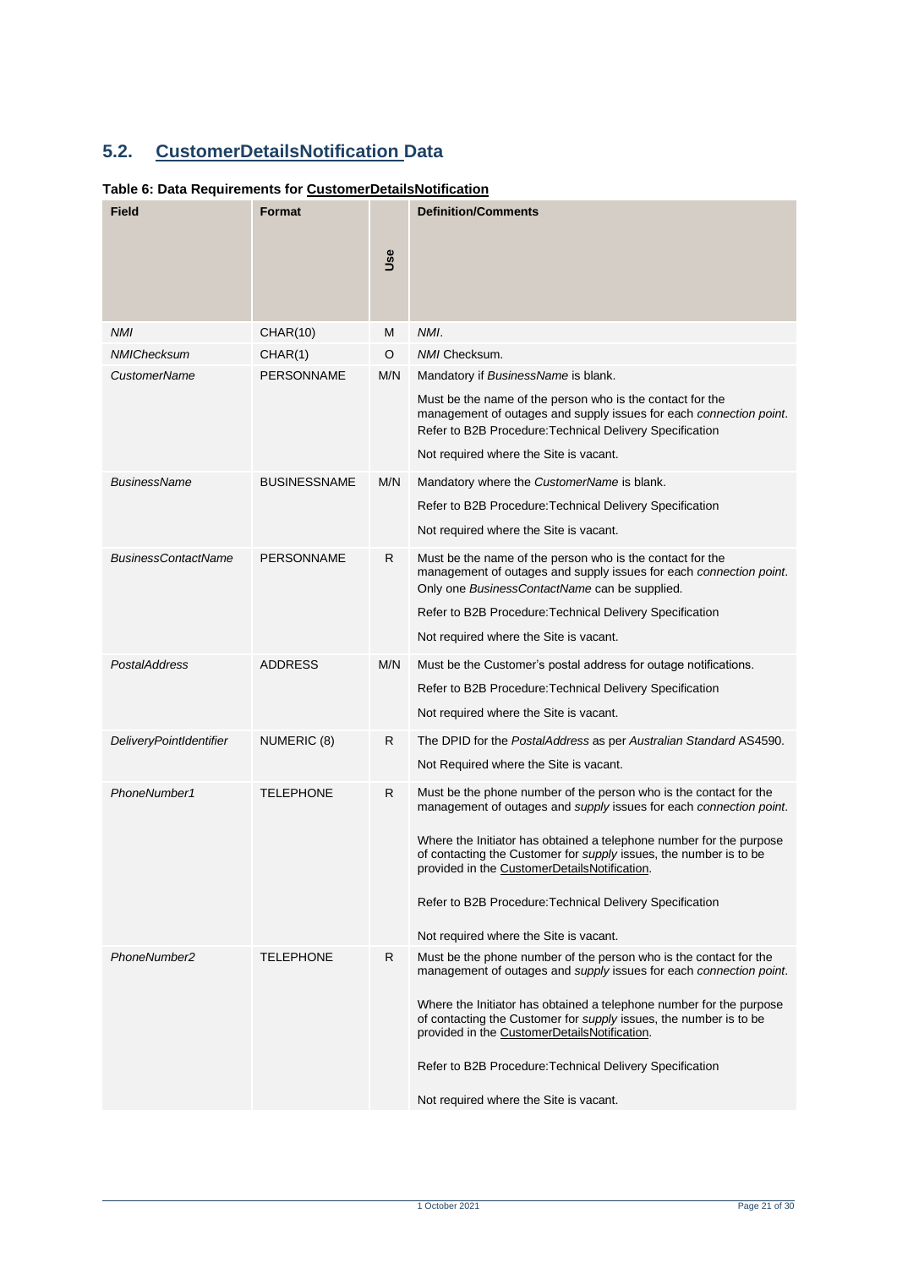# <span id="page-20-0"></span>**5.2. CustomerDetailsNotification Data**

### <span id="page-20-1"></span>**Table 6: Data Requirements for CustomerDetailsNotification**

| Field                          | <b>Format</b>       |     | <b>Definition/Comments</b>                                                                                                                                                                      |
|--------------------------------|---------------------|-----|-------------------------------------------------------------------------------------------------------------------------------------------------------------------------------------------------|
|                                |                     | Use |                                                                                                                                                                                                 |
| <b>NMI</b>                     | <b>CHAR(10)</b>     | M   | NMI.                                                                                                                                                                                            |
| <b>NMIChecksum</b>             | CHAR(1)             | O   | NMI Checksum.                                                                                                                                                                                   |
| <b>CustomerName</b>            | <b>PERSONNAME</b>   | M/N | Mandatory if BusinessName is blank.                                                                                                                                                             |
|                                |                     |     | Must be the name of the person who is the contact for the<br>management of outages and supply issues for each connection point.<br>Refer to B2B Procedure: Technical Delivery Specification     |
|                                |                     |     | Not required where the Site is vacant.                                                                                                                                                          |
| <b>BusinessName</b>            | <b>BUSINESSNAME</b> | M/N | Mandatory where the CustomerName is blank.                                                                                                                                                      |
|                                |                     |     | Refer to B2B Procedure: Technical Delivery Specification                                                                                                                                        |
|                                |                     |     | Not required where the Site is vacant.                                                                                                                                                          |
| <b>BusinessContactName</b>     | <b>PERSONNAME</b>   | R   | Must be the name of the person who is the contact for the<br>management of outages and supply issues for each connection point.<br>Only one BusinessContactName can be supplied.                |
|                                |                     |     | Refer to B2B Procedure: Technical Delivery Specification                                                                                                                                        |
|                                |                     |     | Not required where the Site is vacant.                                                                                                                                                          |
| PostalAddress                  | <b>ADDRESS</b>      | M/N | Must be the Customer's postal address for outage notifications.                                                                                                                                 |
|                                |                     |     | Refer to B2B Procedure: Technical Delivery Specification                                                                                                                                        |
|                                |                     |     | Not required where the Site is vacant.                                                                                                                                                          |
| <b>DeliveryPointIdentifier</b> | NUMERIC (8)         | R   | The DPID for the PostalAddress as per Australian Standard AS4590.                                                                                                                               |
|                                |                     |     | Not Required where the Site is vacant.                                                                                                                                                          |
| PhoneNumber1                   | <b>TELEPHONE</b>    | R   | Must be the phone number of the person who is the contact for the<br>management of outages and supply issues for each connection point.                                                         |
|                                |                     |     | Where the Initiator has obtained a telephone number for the purpose<br>of contacting the Customer for <i>supply</i> issues, the number is to be<br>provided in the CustomerDetailsNotification. |
|                                |                     |     | Refer to B2B Procedure: Technical Delivery Specification                                                                                                                                        |
|                                |                     |     | Not required where the Site is vacant.                                                                                                                                                          |
| PhoneNumber2                   | <b>TELEPHONE</b>    | R   | Must be the phone number of the person who is the contact for the<br>management of outages and supply issues for each connection point.                                                         |
|                                |                     |     | Where the Initiator has obtained a telephone number for the purpose<br>of contacting the Customer for <i>supply</i> issues, the number is to be<br>provided in the CustomerDetailsNotification. |
|                                |                     |     | Refer to B2B Procedure: Technical Delivery Specification                                                                                                                                        |
|                                |                     |     | Not required where the Site is vacant.                                                                                                                                                          |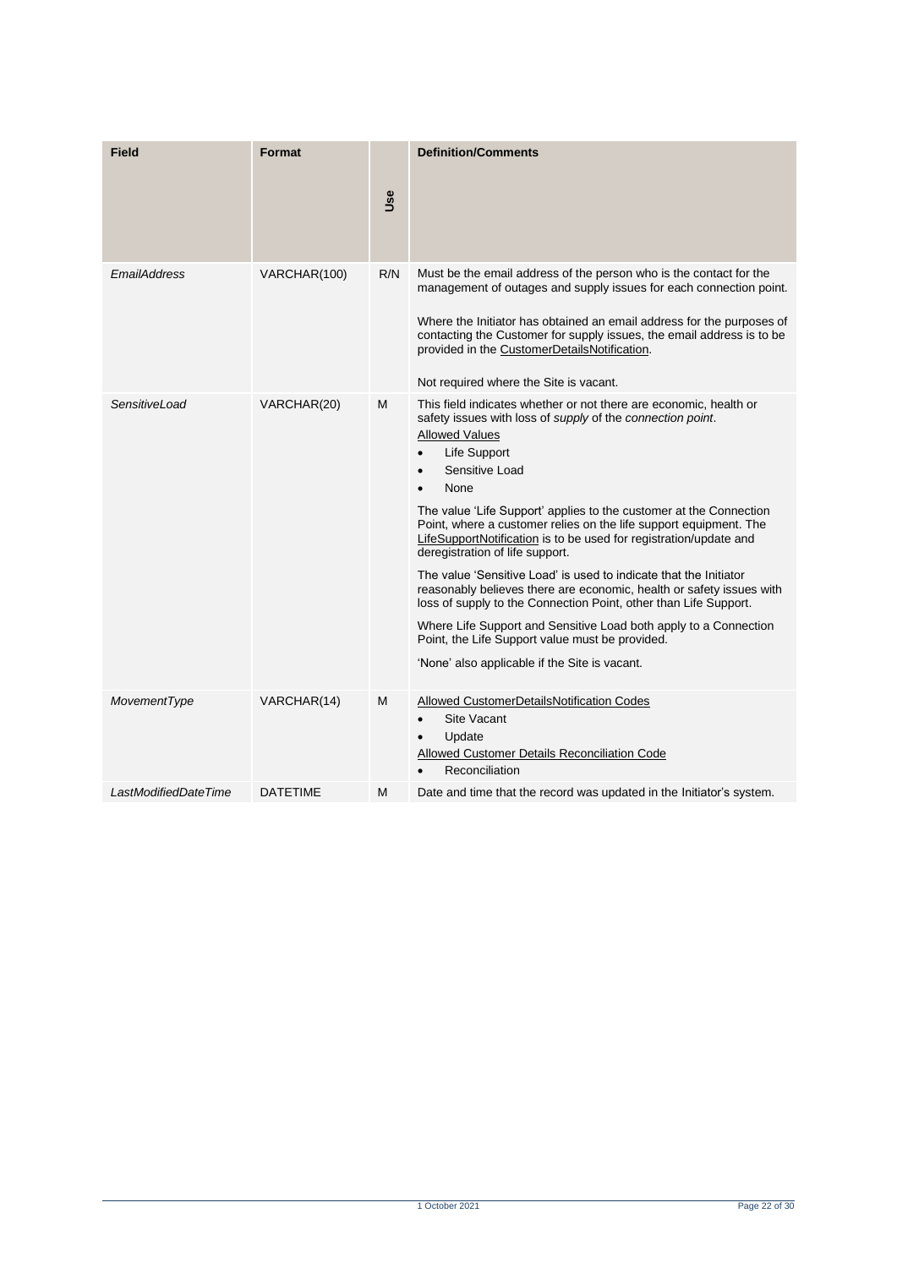| <b>Field</b>         | <b>Format</b>   | <b>Use</b> | <b>Definition/Comments</b>                                                                                                                                                                                                                                                                                                                                                                                                                                                                                                                                                                                                                                                                                                                                                                                                                                                              |
|----------------------|-----------------|------------|-----------------------------------------------------------------------------------------------------------------------------------------------------------------------------------------------------------------------------------------------------------------------------------------------------------------------------------------------------------------------------------------------------------------------------------------------------------------------------------------------------------------------------------------------------------------------------------------------------------------------------------------------------------------------------------------------------------------------------------------------------------------------------------------------------------------------------------------------------------------------------------------|
| EmailAddress         | VARCHAR(100)    | R/N        | Must be the email address of the person who is the contact for the<br>management of outages and supply issues for each connection point.<br>Where the Initiator has obtained an email address for the purposes of<br>contacting the Customer for supply issues, the email address is to be<br>provided in the CustomerDetailsNotification.<br>Not required where the Site is vacant.                                                                                                                                                                                                                                                                                                                                                                                                                                                                                                    |
| SensitiveLoad        | VARCHAR(20)     | M          | This field indicates whether or not there are economic, health or<br>safety issues with loss of <i>supply</i> of the <i>connection point</i> .<br><b>Allowed Values</b><br>Life Support<br>$\bullet$<br>Sensitive Load<br>$\bullet$<br>None<br>The value 'Life Support' applies to the customer at the Connection<br>Point, where a customer relies on the life support equipment. The<br>LifeSupportNotification is to be used for registration/update and<br>deregistration of life support.<br>The value 'Sensitive Load' is used to indicate that the Initiator<br>reasonably believes there are economic, health or safety issues with<br>loss of supply to the Connection Point, other than Life Support.<br>Where Life Support and Sensitive Load both apply to a Connection<br>Point, the Life Support value must be provided.<br>'None' also applicable if the Site is vacant. |
| MovementType         | VARCHAR(14)     | M          | Allowed CustomerDetailsNotification Codes<br>Site Vacant<br>Update<br><b>Allowed Customer Details Reconciliation Code</b><br>Reconciliation                                                                                                                                                                                                                                                                                                                                                                                                                                                                                                                                                                                                                                                                                                                                             |
| LastModifiedDateTime | <b>DATETIME</b> | Μ          | Date and time that the record was updated in the Initiator's system.                                                                                                                                                                                                                                                                                                                                                                                                                                                                                                                                                                                                                                                                                                                                                                                                                    |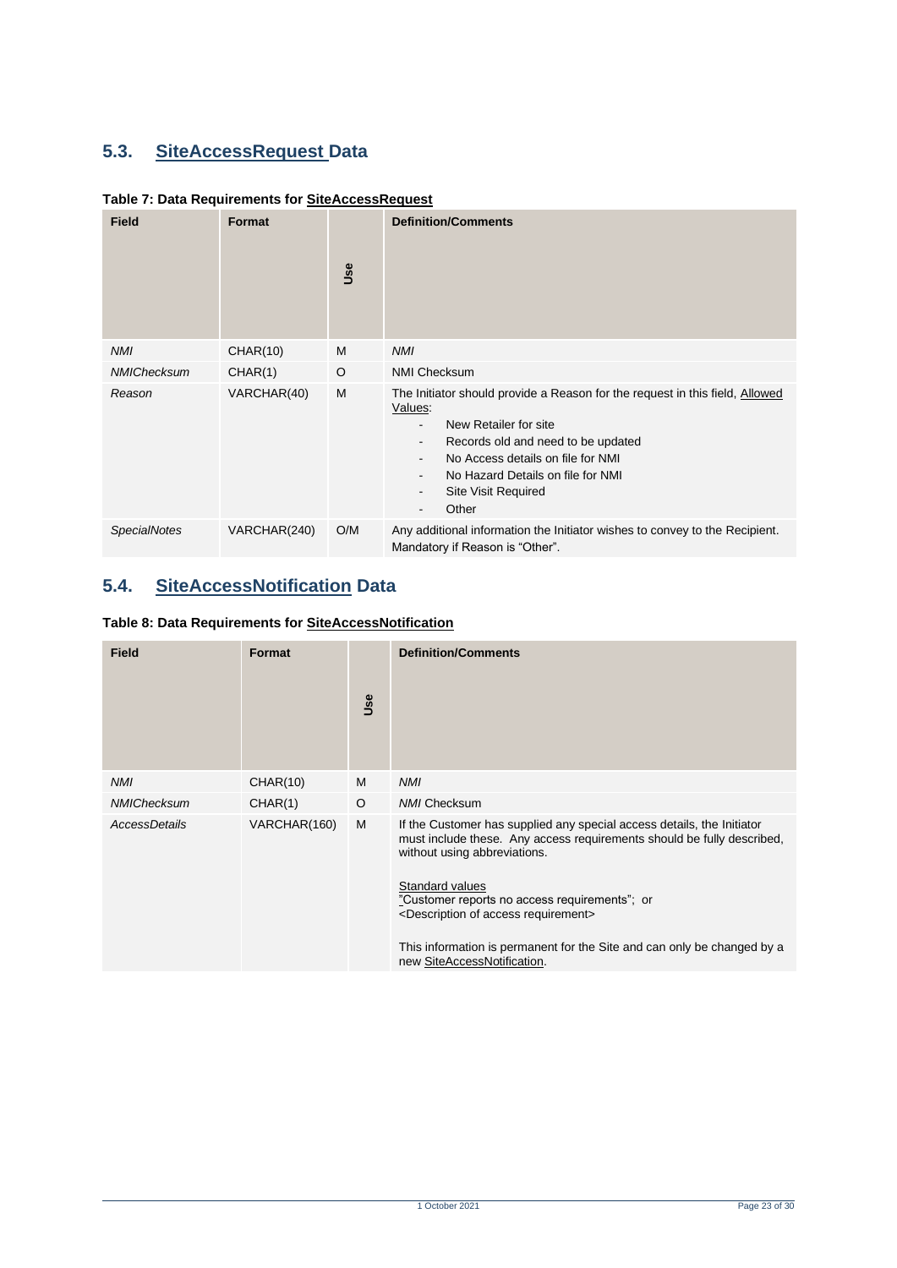# <span id="page-22-0"></span>**5.3. SiteAccessRequest Data**

<span id="page-22-2"></span>

| Table 7: Data Requirements for SiteAccessRequest |  |
|--------------------------------------------------|--|
|--------------------------------------------------|--|

| <b>Field</b>        | Format       | Use | <b>Definition/Comments</b>                                                                                                                                                                                                                                                                                                                                                                                               |
|---------------------|--------------|-----|--------------------------------------------------------------------------------------------------------------------------------------------------------------------------------------------------------------------------------------------------------------------------------------------------------------------------------------------------------------------------------------------------------------------------|
| <b>NMI</b>          | CHAR(10)     | M   | <b>NMI</b>                                                                                                                                                                                                                                                                                                                                                                                                               |
| NMIChecksum         | CHAR(1)      | O   | <b>NMI Checksum</b>                                                                                                                                                                                                                                                                                                                                                                                                      |
| Reason              | VARCHAR(40)  | M   | The Initiator should provide a Reason for the request in this field, Allowed<br>Values:<br>New Retailer for site<br>$\overline{\phantom{0}}$<br>Records old and need to be updated<br>$\overline{\phantom{0}}$<br>No Access details on file for NMI<br>$\overline{\phantom{0}}$<br>No Hazard Details on file for NMI<br>$\overline{\phantom{0}}$<br><b>Site Visit Required</b><br>-<br>Other<br>$\overline{\phantom{0}}$ |
| <b>SpecialNotes</b> | VARCHAR(240) | O/M | Any additional information the Initiator wishes to convey to the Recipient.<br>Mandatory if Reason is "Other".                                                                                                                                                                                                                                                                                                           |

# <span id="page-22-1"></span>**5.4. SiteAccessNotification Data**

<span id="page-22-3"></span>

|  | Table 8: Data Requirements for SiteAccessNotification |
|--|-------------------------------------------------------|
|  |                                                       |

| <b>Field</b>       | <b>Format</b> | Use     | <b>Definition/Comments</b>                                                                                                                                                                                                                                                                                                                                                                                                     |
|--------------------|---------------|---------|--------------------------------------------------------------------------------------------------------------------------------------------------------------------------------------------------------------------------------------------------------------------------------------------------------------------------------------------------------------------------------------------------------------------------------|
| <b>NMI</b>         | CHAR(10)      | M       | <b>NMI</b>                                                                                                                                                                                                                                                                                                                                                                                                                     |
| <b>NMIChecksum</b> | CHAR(1)       | $\circ$ | <b>NMI Checksum</b>                                                                                                                                                                                                                                                                                                                                                                                                            |
| AccessDetails      | VARCHAR(160)  | M       | If the Customer has supplied any special access details, the Initiator<br>must include these. Any access requirements should be fully described,<br>without using abbreviations.<br>Standard values<br>"Customer reports no access requirements"; or<br><description access="" of="" requirement=""><br/>This information is permanent for the Site and can only be changed by a<br/>new SiteAccessNotification.</description> |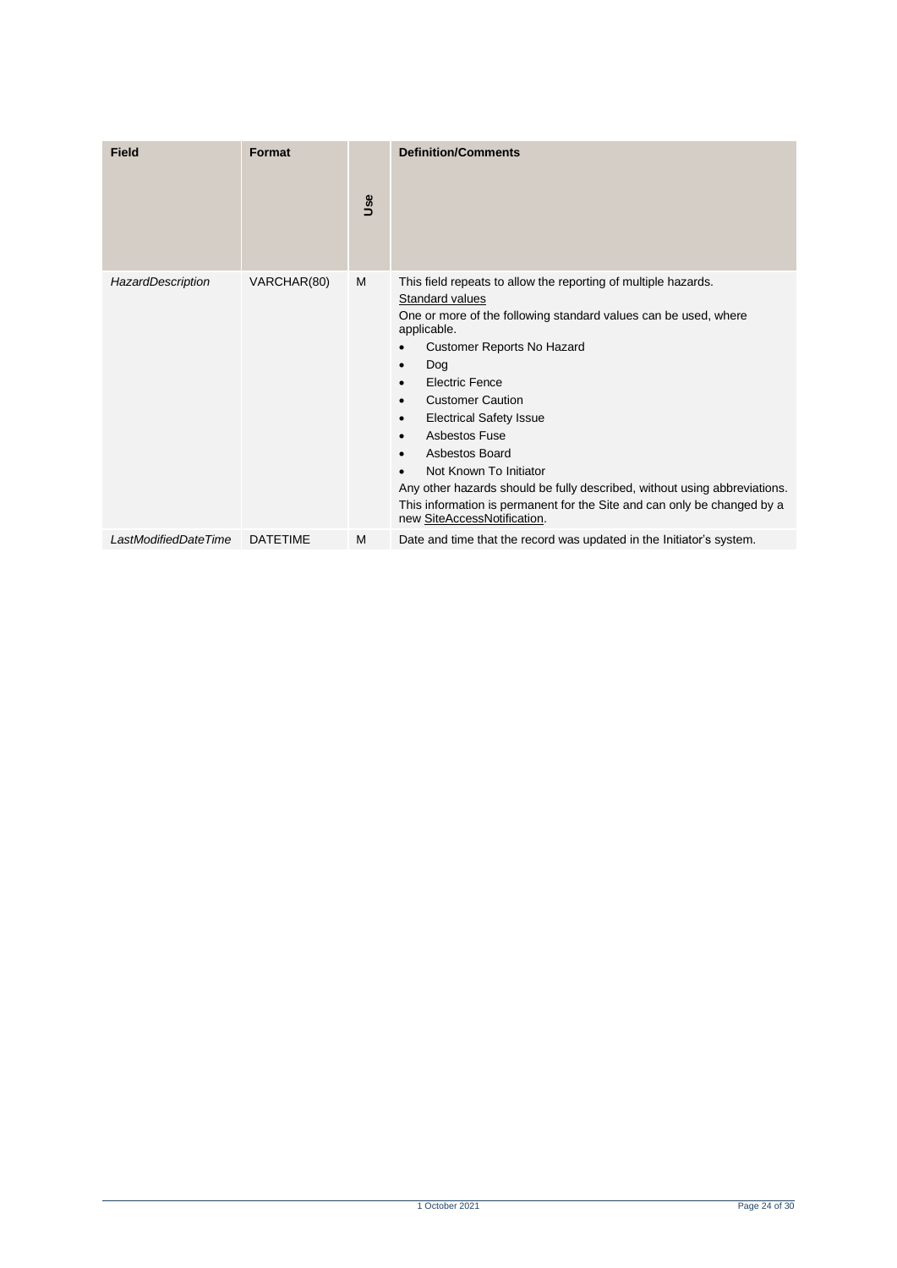| <b>Field</b>         | Format          | Use | <b>Definition/Comments</b>                                                                                                                                                                                                                                                                                                                                                                                                                                                                                                                                                                             |
|----------------------|-----------------|-----|--------------------------------------------------------------------------------------------------------------------------------------------------------------------------------------------------------------------------------------------------------------------------------------------------------------------------------------------------------------------------------------------------------------------------------------------------------------------------------------------------------------------------------------------------------------------------------------------------------|
| HazardDescription    | VARCHAR(80)     | M   | This field repeats to allow the reporting of multiple hazards.<br>Standard values<br>One or more of the following standard values can be used, where<br>applicable.<br>Customer Reports No Hazard<br>Dog<br>$\bullet$<br><b>Electric Fence</b><br>$\bullet$<br><b>Customer Caution</b><br>$\bullet$<br><b>Electrical Safety Issue</b><br>$\bullet$<br>Asbestos Fuse<br>Asbestos Board<br>Not Known To Initiator<br>Any other hazards should be fully described, without using abbreviations.<br>This information is permanent for the Site and can only be changed by a<br>new SiteAccessNotification. |
| LastModifiedDateTime | <b>DATETIME</b> | M   | Date and time that the record was updated in the Initiator's system.                                                                                                                                                                                                                                                                                                                                                                                                                                                                                                                                   |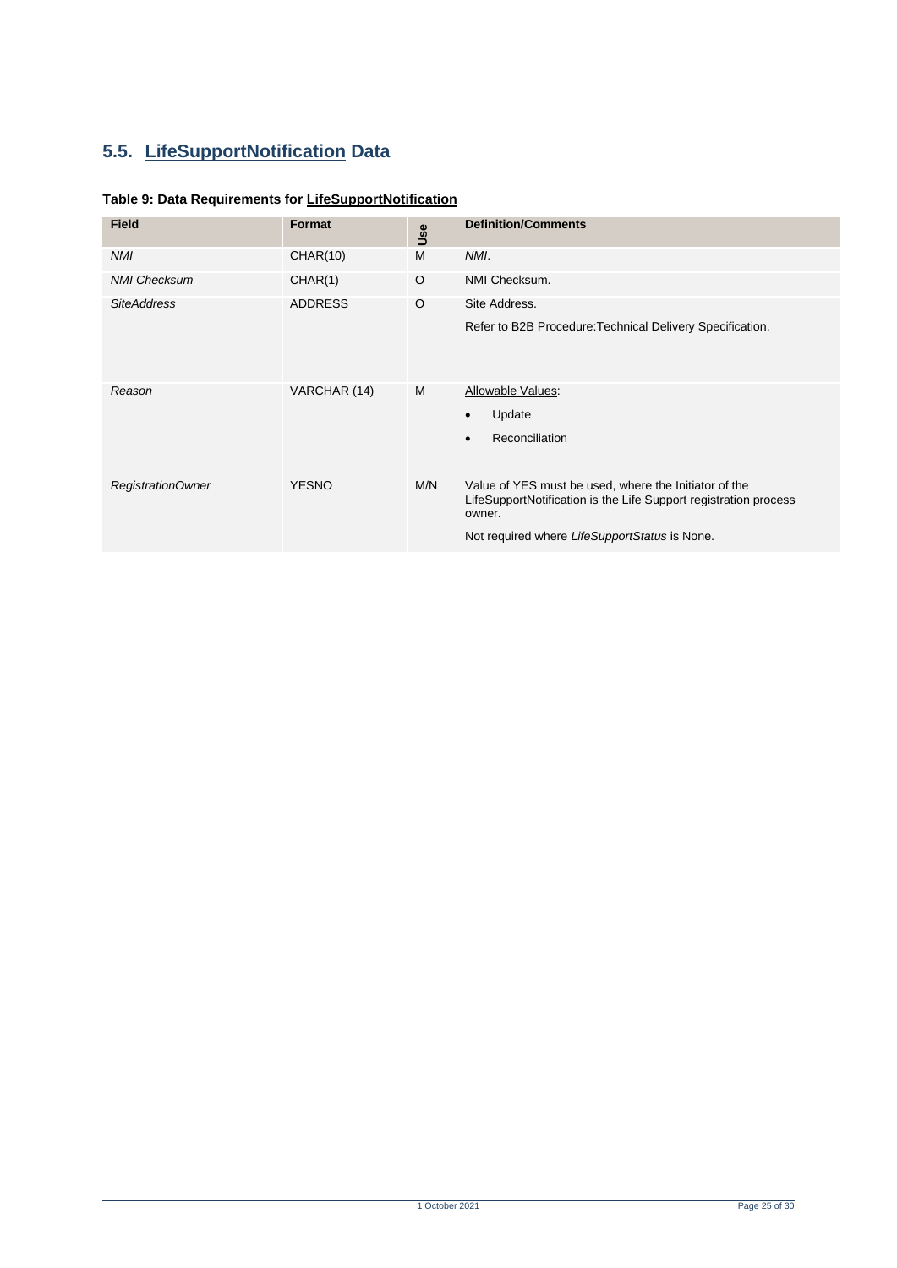# <span id="page-24-0"></span>**5.5. LifeSupportNotification Data**

#### <span id="page-24-1"></span>**Table 9: Data Requirements for LifeSupportNotification**

| <b>Field</b>        | <b>Format</b>  | Use     | <b>Definition/Comments</b>                                                                                                                                                           |
|---------------------|----------------|---------|--------------------------------------------------------------------------------------------------------------------------------------------------------------------------------------|
| <b>NMI</b>          | CHAR(10)       | M       | NMI.                                                                                                                                                                                 |
| <b>NMI Checksum</b> | CHAR(1)        | O       | NMI Checksum.                                                                                                                                                                        |
| <b>SiteAddress</b>  | <b>ADDRESS</b> | $\circ$ | Site Address.<br>Refer to B2B Procedure: Technical Delivery Specification.                                                                                                           |
| Reason              | VARCHAR (14)   | M       | Allowable Values:<br>Update<br>Reconciliation                                                                                                                                        |
| RegistrationOwner   | <b>YESNO</b>   | M/N     | Value of YES must be used, where the Initiator of the<br>LifeSupportNotification is the Life Support registration process<br>owner.<br>Not required where LifeSupportStatus is None. |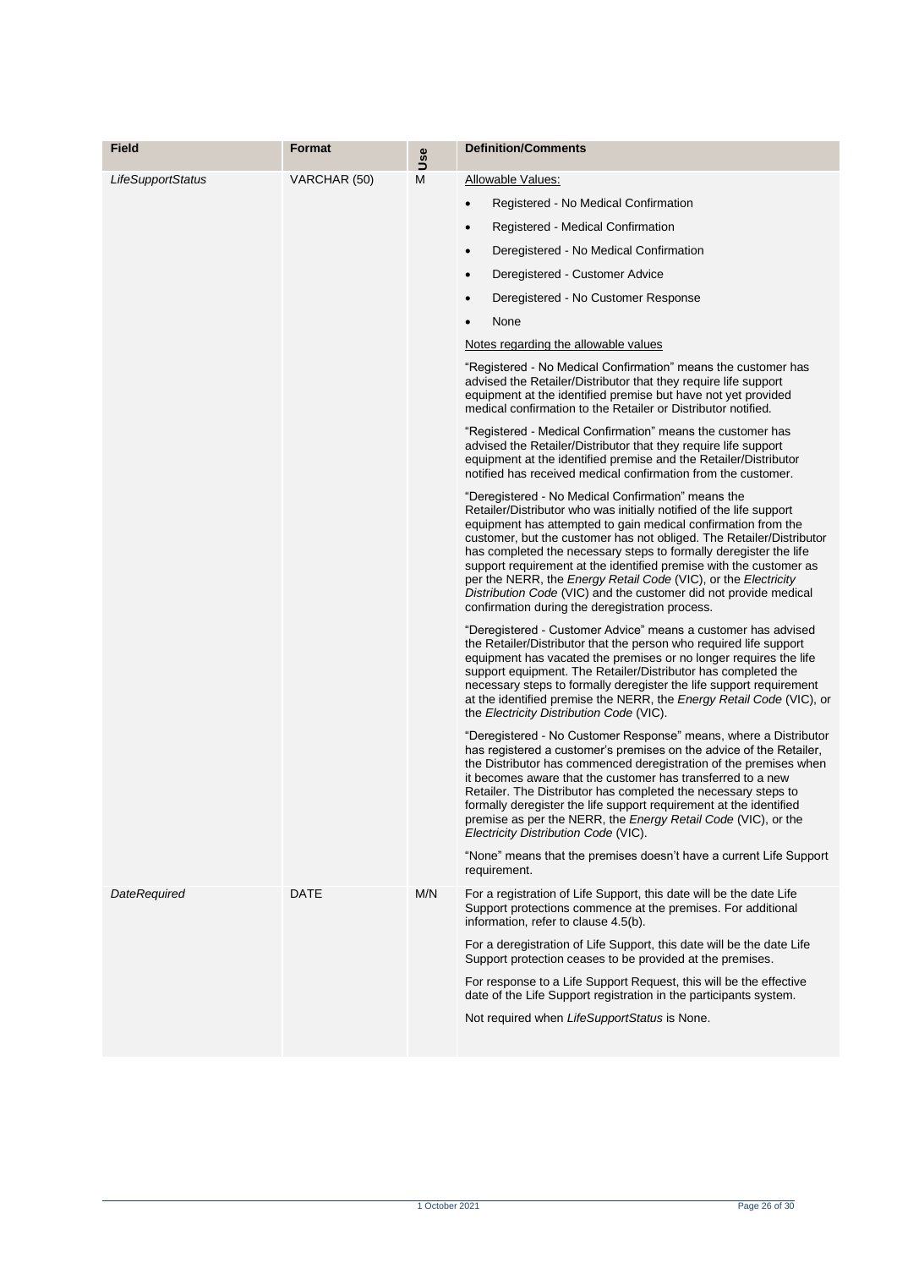| Field               | <b>Format</b> |          | <b>Definition/Comments</b>                                                                                                                                                                                                                                                                                                                                                                                                                                                                                                                                                                                                                                                                                                                                                                                                                                                                                                                                                                                                                                                                                                                                                                                                                                                                                                                                                                                                                                                                                                                                                                                                                                                                                                                                                                                                                                                                                                                                                                                                                                             |
|---------------------|---------------|----------|------------------------------------------------------------------------------------------------------------------------------------------------------------------------------------------------------------------------------------------------------------------------------------------------------------------------------------------------------------------------------------------------------------------------------------------------------------------------------------------------------------------------------------------------------------------------------------------------------------------------------------------------------------------------------------------------------------------------------------------------------------------------------------------------------------------------------------------------------------------------------------------------------------------------------------------------------------------------------------------------------------------------------------------------------------------------------------------------------------------------------------------------------------------------------------------------------------------------------------------------------------------------------------------------------------------------------------------------------------------------------------------------------------------------------------------------------------------------------------------------------------------------------------------------------------------------------------------------------------------------------------------------------------------------------------------------------------------------------------------------------------------------------------------------------------------------------------------------------------------------------------------------------------------------------------------------------------------------------------------------------------------------------------------------------------------------|
| LifeSupportStatus   | VARCHAR (50)  | Use<br>M | Allowable Values:<br>Registered - No Medical Confirmation<br>$\bullet$<br>Registered - Medical Confirmation<br>$\bullet$<br>Deregistered - No Medical Confirmation<br>$\bullet$<br>Deregistered - Customer Advice<br>$\bullet$<br>Deregistered - No Customer Response<br>$\bullet$<br>None<br>$\bullet$<br>Notes regarding the allowable values<br>"Registered - No Medical Confirmation" means the customer has<br>advised the Retailer/Distributor that they require life support<br>equipment at the identified premise but have not yet provided<br>medical confirmation to the Retailer or Distributor notified.<br>"Registered - Medical Confirmation" means the customer has<br>advised the Retailer/Distributor that they require life support<br>equipment at the identified premise and the Retailer/Distributor<br>notified has received medical confirmation from the customer.<br>"Deregistered - No Medical Confirmation" means the<br>Retailer/Distributor who was initially notified of the life support<br>equipment has attempted to gain medical confirmation from the<br>customer, but the customer has not obliged. The Retailer/Distributor<br>has completed the necessary steps to formally deregister the life<br>support requirement at the identified premise with the customer as<br>per the NERR, the <i>Energy Retail Code</i> (VIC), or the <i>Electricity</i><br>Distribution Code (VIC) and the customer did not provide medical<br>confirmation during the deregistration process.<br>"Deregistered - Customer Advice" means a customer has advised<br>the Retailer/Distributor that the person who required life support<br>equipment has vacated the premises or no longer requires the life<br>support equipment. The Retailer/Distributor has completed the<br>necessary steps to formally deregister the life support requirement<br>at the identified premise the NERR, the <i>Energy Retail Code</i> (VIC), or<br>the Electricity Distribution Code (VIC).<br>"Deregistered - No Customer Response" means, where a Distributor |
|                     |               |          | has registered a customer's premises on the advice of the Retailer,<br>the Distributor has commenced deregistration of the premises when<br>it becomes aware that the customer has transferred to a new<br>Retailer. The Distributor has completed the necessary steps to<br>formally deregister the life support requirement at the identified<br>premise as per the NERR, the Energy Retail Code (VIC), or the<br>Electricity Distribution Code (VIC).                                                                                                                                                                                                                                                                                                                                                                                                                                                                                                                                                                                                                                                                                                                                                                                                                                                                                                                                                                                                                                                                                                                                                                                                                                                                                                                                                                                                                                                                                                                                                                                                               |
|                     |               |          | "None" means that the premises doesn't have a current Life Support<br>requirement.                                                                                                                                                                                                                                                                                                                                                                                                                                                                                                                                                                                                                                                                                                                                                                                                                                                                                                                                                                                                                                                                                                                                                                                                                                                                                                                                                                                                                                                                                                                                                                                                                                                                                                                                                                                                                                                                                                                                                                                     |
| <b>DateRequired</b> | DATE          | M/N      | For a registration of Life Support, this date will be the date Life<br>Support protections commence at the premises. For additional<br>information, refer to clause 4.5(b).<br>For a deregistration of Life Support, this date will be the date Life<br>Support protection ceases to be provided at the premises.<br>For response to a Life Support Request, this will be the effective<br>date of the Life Support registration in the participants system.<br>Not required when LifeSupportStatus is None.                                                                                                                                                                                                                                                                                                                                                                                                                                                                                                                                                                                                                                                                                                                                                                                                                                                                                                                                                                                                                                                                                                                                                                                                                                                                                                                                                                                                                                                                                                                                                           |
|                     |               |          |                                                                                                                                                                                                                                                                                                                                                                                                                                                                                                                                                                                                                                                                                                                                                                                                                                                                                                                                                                                                                                                                                                                                                                                                                                                                                                                                                                                                                                                                                                                                                                                                                                                                                                                                                                                                                                                                                                                                                                                                                                                                        |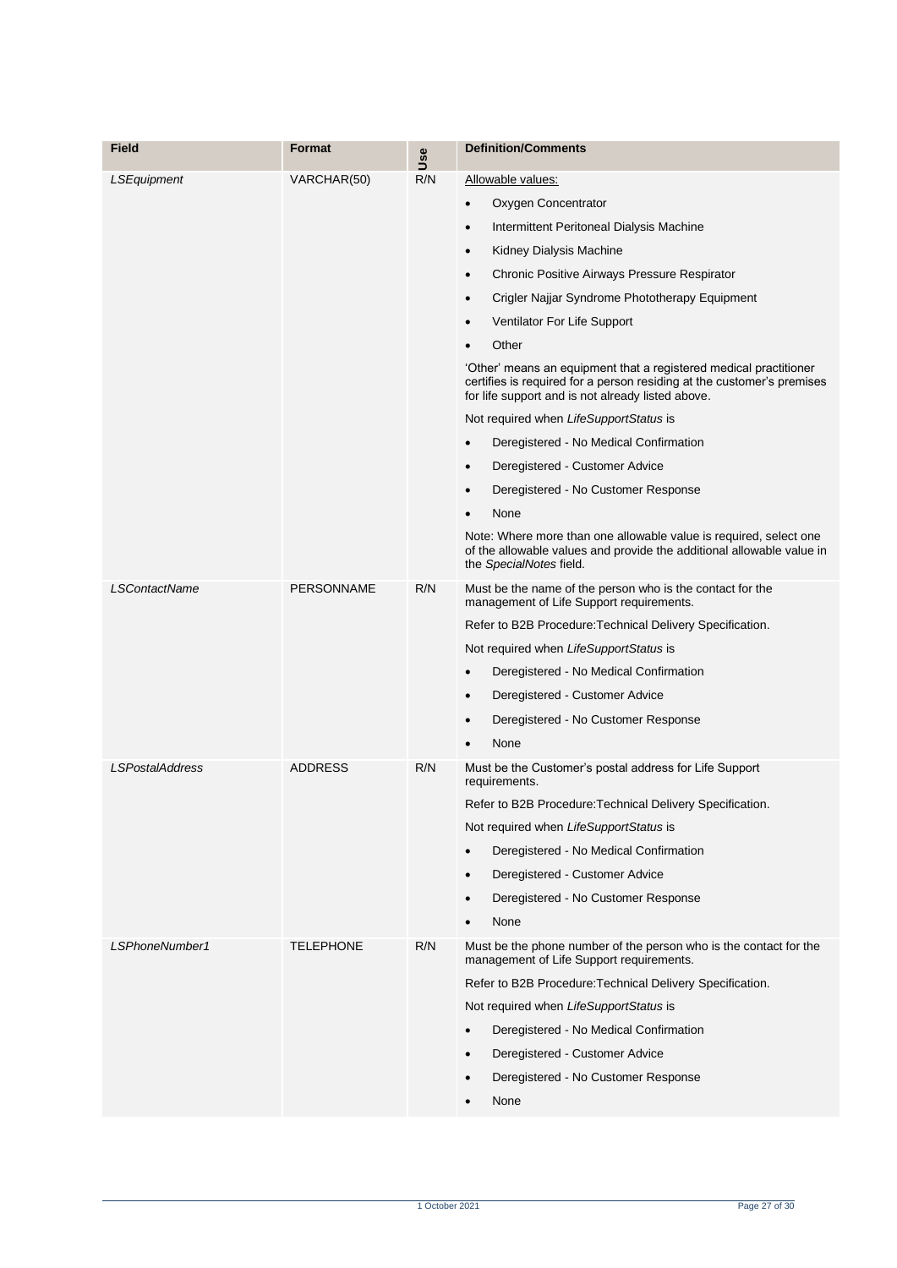| Field                  | <b>Format</b>     | Use | <b>Definition/Comments</b>                                                                                                                                                                       |
|------------------------|-------------------|-----|--------------------------------------------------------------------------------------------------------------------------------------------------------------------------------------------------|
| LSEquipment            | VARCHAR(50)       | R/N | Allowable values:                                                                                                                                                                                |
|                        |                   |     | Oxygen Concentrator<br>٠                                                                                                                                                                         |
|                        |                   |     | Intermittent Peritoneal Dialysis Machine<br>$\bullet$                                                                                                                                            |
|                        |                   |     | Kidney Dialysis Machine<br>٠                                                                                                                                                                     |
|                        |                   |     | Chronic Positive Airways Pressure Respirator<br>$\bullet$                                                                                                                                        |
|                        |                   |     | Crigler Najjar Syndrome Phototherapy Equipment<br>٠                                                                                                                                              |
|                        |                   |     | Ventilator For Life Support<br>$\bullet$                                                                                                                                                         |
|                        |                   |     | Other                                                                                                                                                                                            |
|                        |                   |     | 'Other' means an equipment that a registered medical practitioner<br>certifies is required for a person residing at the customer's premises<br>for life support and is not already listed above. |
|                        |                   |     | Not required when LifeSupportStatus is                                                                                                                                                           |
|                        |                   |     | Deregistered - No Medical Confirmation<br>$\bullet$                                                                                                                                              |
|                        |                   |     | Deregistered - Customer Advice<br>$\bullet$                                                                                                                                                      |
|                        |                   |     | Deregistered - No Customer Response<br>٠                                                                                                                                                         |
|                        |                   |     | None                                                                                                                                                                                             |
|                        |                   |     | Note: Where more than one allowable value is required, select one<br>of the allowable values and provide the additional allowable value in<br>the SpecialNotes field.                            |
| <b>LSContactName</b>   | <b>PERSONNAME</b> | R/N | Must be the name of the person who is the contact for the<br>management of Life Support requirements.                                                                                            |
|                        |                   |     | Refer to B2B Procedure: Technical Delivery Specification.                                                                                                                                        |
|                        |                   |     | Not required when LifeSupportStatus is                                                                                                                                                           |
|                        |                   |     | Deregistered - No Medical Confirmation<br>٠                                                                                                                                                      |
|                        |                   |     | Deregistered - Customer Advice<br>٠                                                                                                                                                              |
|                        |                   |     | Deregistered - No Customer Response<br>$\bullet$                                                                                                                                                 |
|                        |                   |     | None                                                                                                                                                                                             |
| <b>LSPostalAddress</b> | <b>ADDRESS</b>    | R/N | Must be the Customer's postal address for Life Support<br>requirements.                                                                                                                          |
|                        |                   |     | Refer to B2B Procedure: Technical Delivery Specification.                                                                                                                                        |
|                        |                   |     | Not required when LifeSupportStatus is                                                                                                                                                           |
|                        |                   |     | Deregistered - No Medical Confirmation<br>$\bullet$                                                                                                                                              |
|                        |                   |     | Deregistered - Customer Advice<br>$\bullet$                                                                                                                                                      |
|                        |                   |     | Deregistered - No Customer Response<br>٠                                                                                                                                                         |
|                        |                   |     | None                                                                                                                                                                                             |
| LSPhoneNumber1         | <b>TELEPHONE</b>  | R/N | Must be the phone number of the person who is the contact for the<br>management of Life Support requirements.                                                                                    |
|                        |                   |     | Refer to B2B Procedure: Technical Delivery Specification.                                                                                                                                        |
|                        |                   |     | Not required when LifeSupportStatus is                                                                                                                                                           |
|                        |                   |     | Deregistered - No Medical Confirmation                                                                                                                                                           |
|                        |                   |     | Deregistered - Customer Advice<br>$\bullet$                                                                                                                                                      |
|                        |                   |     | Deregistered - No Customer Response<br>$\bullet$                                                                                                                                                 |
|                        |                   |     | None                                                                                                                                                                                             |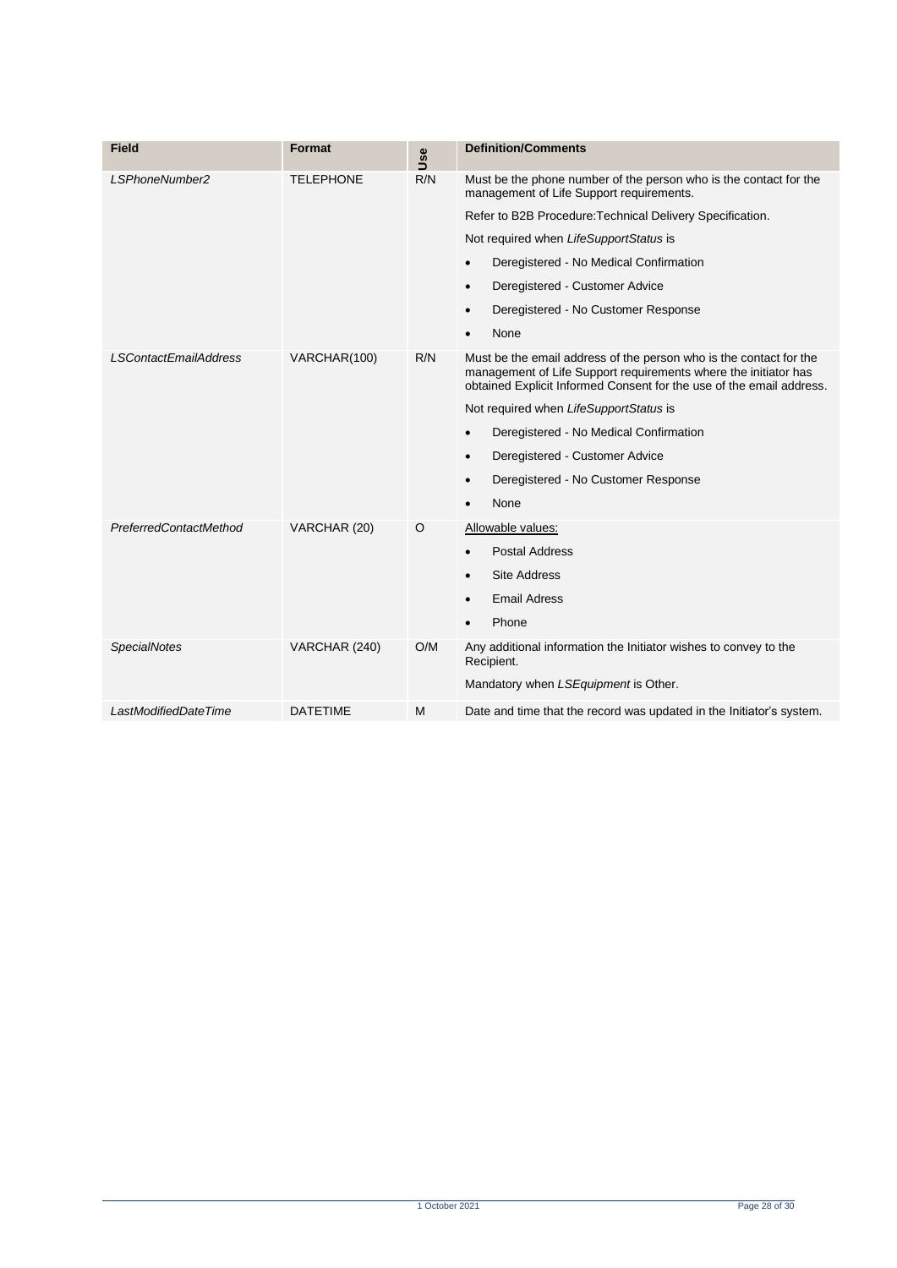| <b>Field</b>                  | Format           | Use | <b>Definition/Comments</b>                                                                                                                                                                                    |
|-------------------------------|------------------|-----|---------------------------------------------------------------------------------------------------------------------------------------------------------------------------------------------------------------|
| LSPhoneNumber2                | <b>TELEPHONE</b> | R/N | Must be the phone number of the person who is the contact for the<br>management of Life Support requirements.                                                                                                 |
|                               |                  |     | Refer to B2B Procedure: Technical Delivery Specification.                                                                                                                                                     |
|                               |                  |     | Not required when LifeSupportStatus is                                                                                                                                                                        |
|                               |                  |     | Deregistered - No Medical Confirmation<br>$\bullet$                                                                                                                                                           |
|                               |                  |     | Deregistered - Customer Advice<br>$\bullet$                                                                                                                                                                   |
|                               |                  |     | Deregistered - No Customer Response<br>$\bullet$                                                                                                                                                              |
|                               |                  |     | None<br>$\bullet$                                                                                                                                                                                             |
| <b>LSContactEmailAddress</b>  | VARCHAR(100)     | R/N | Must be the email address of the person who is the contact for the<br>management of Life Support requirements where the initiator has<br>obtained Explicit Informed Consent for the use of the email address. |
|                               |                  |     | Not required when LifeSupportStatus is                                                                                                                                                                        |
|                               |                  |     | Deregistered - No Medical Confirmation<br>$\bullet$                                                                                                                                                           |
|                               |                  |     | Deregistered - Customer Advice<br>$\bullet$                                                                                                                                                                   |
|                               |                  |     | Deregistered - No Customer Response<br>$\bullet$                                                                                                                                                              |
|                               |                  |     | None                                                                                                                                                                                                          |
| <b>PreferredContactMethod</b> | VARCHAR (20)     | O   | Allowable values:                                                                                                                                                                                             |
|                               |                  |     | <b>Postal Address</b>                                                                                                                                                                                         |
|                               |                  |     | <b>Site Address</b><br>$\bullet$                                                                                                                                                                              |
|                               |                  |     | <b>Email Adress</b>                                                                                                                                                                                           |
|                               |                  |     | Phone                                                                                                                                                                                                         |
| <b>SpecialNotes</b>           | VARCHAR (240)    | O/M | Any additional information the Initiator wishes to convey to the<br>Recipient.                                                                                                                                |
|                               |                  |     | Mandatory when LSEquipment is Other.                                                                                                                                                                          |
| LastModifiedDateTime          | <b>DATETIME</b>  | м   | Date and time that the record was updated in the Initiator's system.                                                                                                                                          |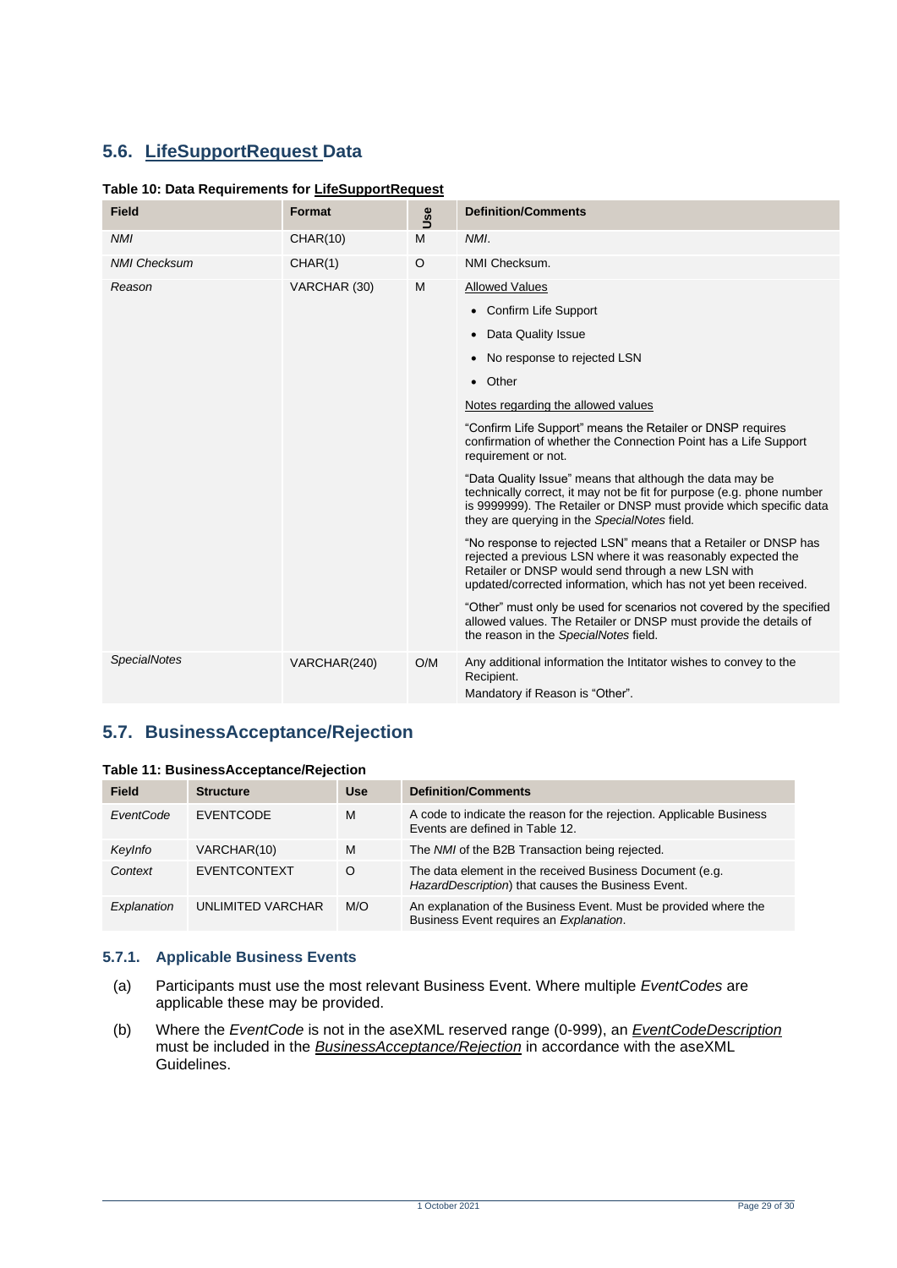# <span id="page-28-0"></span>**5.6. LifeSupportRequest Data**

#### <span id="page-28-2"></span>**Table 10: Data Requirements for LifeSupportRequest**

| <b>Field</b>        | Format       | Use     | <b>Definition/Comments</b>                                                                                                                                                                                                                               |
|---------------------|--------------|---------|----------------------------------------------------------------------------------------------------------------------------------------------------------------------------------------------------------------------------------------------------------|
| <b>NMI</b>          | CHAR(10)     | M       | NMI.                                                                                                                                                                                                                                                     |
| <b>NMI Checksum</b> | CHAR(1)      | $\circ$ | NMI Checksum.                                                                                                                                                                                                                                            |
| Reason              | VARCHAR (30) | M       | <b>Allowed Values</b>                                                                                                                                                                                                                                    |
|                     |              |         | • Confirm Life Support                                                                                                                                                                                                                                   |
|                     |              |         | • Data Quality Issue                                                                                                                                                                                                                                     |
|                     |              |         | • No response to rejected LSN                                                                                                                                                                                                                            |
|                     |              |         | • Other                                                                                                                                                                                                                                                  |
|                     |              |         | Notes regarding the allowed values                                                                                                                                                                                                                       |
|                     |              |         | "Confirm Life Support" means the Retailer or DNSP requires<br>confirmation of whether the Connection Point has a Life Support<br>requirement or not.                                                                                                     |
|                     |              |         | "Data Quality Issue" means that although the data may be<br>technically correct, it may not be fit for purpose (e.g. phone number<br>is 9999999). The Retailer or DNSP must provide which specific data<br>they are querying in the SpecialNotes field.  |
|                     |              |         | "No response to rejected LSN" means that a Retailer or DNSP has<br>rejected a previous LSN where it was reasonably expected the<br>Retailer or DNSP would send through a new LSN with<br>updated/corrected information, which has not yet been received. |
|                     |              |         | "Other" must only be used for scenarios not covered by the specified<br>allowed values. The Retailer or DNSP must provide the details of<br>the reason in the SpecialNotes field.                                                                        |
| <b>SpecialNotes</b> | VARCHAR(240) | O/M     | Any additional information the Intitator wishes to convey to the<br>Recipient.<br>Mandatory if Reason is "Other".                                                                                                                                        |

# <span id="page-28-1"></span>**5.7. BusinessAcceptance/Rejection**

<span id="page-28-3"></span>

|  | Table 11: BusinessAcceptance/Rejection |  |  |
|--|----------------------------------------|--|--|
|--|----------------------------------------|--|--|

| <b>Field</b> | <b>Structure</b>  | <b>Use</b> | <b>Definition/Comments</b>                                                                                     |
|--------------|-------------------|------------|----------------------------------------------------------------------------------------------------------------|
| EventCode    | <b>EVENTCODE</b>  | M          | A code to indicate the reason for the rejection. Applicable Business<br>Events are defined in Table 12.        |
| KeyInfo      | VARCHAR(10)       | M          | The NMI of the B2B Transaction being rejected.                                                                 |
| Context      | EVENTCONTEXT      | O          | The data element in the received Business Document (e.g.<br>HazardDescription) that causes the Business Event. |
| Explanation  | UNLIMITED VARCHAR | M/O        | An explanation of the Business Event. Must be provided where the<br>Business Event requires an Explanation.    |

#### **5.7.1. Applicable Business Events**

- (a) Participants must use the most relevant Business Event. Where multiple *EventCodes* are applicable these may be provided.
- (b) Where the *EventCode* is not in the aseXML reserved range (0-999), an *EventCodeDescription* must be included in the *BusinessAcceptance/Rejection* in accordance with the aseXML Guidelines.